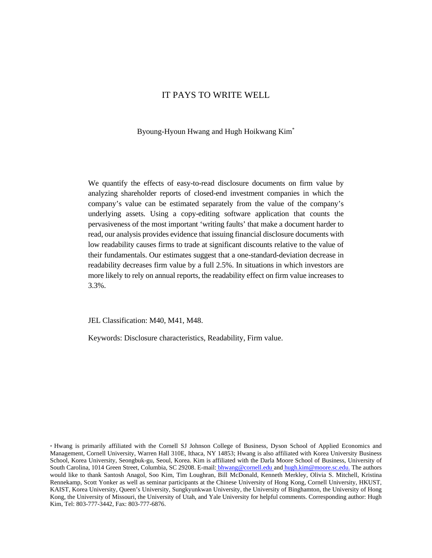# IT PAYS TO WRITE WELL

# Byoung-Hyoun Hwang and Hugh Hoikwang Kim\*

We quantify the effects of easy-to-read disclosure documents on firm value by analyzing shareholder reports of closed-end investment companies in which the company's value can be estimated separately from the value of the company's underlying assets. Using a copy-editing software application that counts the pervasiveness of the most important 'writing faults' that make a document harder to read, our analysis provides evidence that issuing financial disclosure documents with low readability causes firms to trade at significant discounts relative to the value of their fundamentals. Our estimates suggest that a one-standard-deviation decrease in readability decreases firm value by a full 2.5%. In situations in which investors are more likely to rely on annual reports, the readability effect on firm value increases to 3.3%.

JEL Classification: M40, M41, M48.

Keywords: Disclosure characteristics, Readability, Firm value.

\* Hwang is primarily affiliated with the Cornell SJ Johnson College of Business, Dyson School of Applied Economics and Management, Cornell University, Warren Hall 310E, Ithaca, NY 14853; Hwang is also affiliated with Korea University Business [School, Korea University, Seongbuk-gu, Seoul, Korea. Kim is affiliated with the Darla Moore School of Business, University of](mailto:bhwang@cornell.edu)  South Carolina, 1014 Green Street, Columbia, SC 29208[.](mailto:h.kim@skku.edu) E-mail: **bhwang@cornell.edu and hugh.kim@moore.sc.edu**. The authors would like to thank Santosh Anagol, Soo Kim, Tim Loughran, Bill McDonald, Kenneth Merkley, Olivia S. Mitchell, Kristina Rennekamp, Scott Yonker as well as seminar participants at the Chinese University of Hong Kong, Cornell University, HKUST, KAIST, Korea University, Queen's University, Sungkyunkwan University, the University of Binghamton, the University of Hong Kong, the University of Missouri, the University of Utah, and Yale University for helpful comments. Corresponding author: Hugh Kim, Tel: 803-777-3442, Fax: 803-777-6876.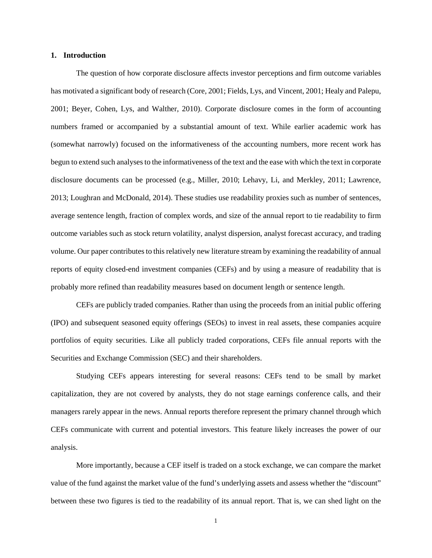#### **1. Introduction**

The question of how corporate disclosure affects investor perceptions and firm outcome variables has motivated a significant body of research (Core, 2001; Fields, Lys, and Vincent, 2001; Healy and Palepu, 2001; Beyer, Cohen, Lys, and Walther, 2010). Corporate disclosure comes in the form of accounting numbers framed or accompanied by a substantial amount of text. While earlier academic work has (somewhat narrowly) focused on the informativeness of the accounting numbers, more recent work has begun to extend such analyses to the informativeness of the text and the ease with which the text in corporate disclosure documents can be processed (e.g., Miller, 2010; Lehavy, Li, and Merkley, 2011; Lawrence, 2013; Loughran and McDonald, 2014). These studies use readability proxies such as number of sentences, average sentence length, fraction of complex words, and size of the annual report to tie readability to firm outcome variables such as stock return volatility, analyst dispersion, analyst forecast accuracy, and trading volume. Our paper contributes to this relatively new literature stream by examining the readability of annual reports of equity closed-end investment companies (CEFs) and by using a measure of readability that is probably more refined than readability measures based on document length or sentence length.

CEFs are publicly traded companies. Rather than using the proceeds from an initial public offering (IPO) and subsequent seasoned equity offerings (SEOs) to invest in real assets, these companies acquire portfolios of equity securities. Like all publicly traded corporations, CEFs file annual reports with the Securities and Exchange Commission (SEC) and their shareholders.

Studying CEFs appears interesting for several reasons: CEFs tend to be small by market capitalization, they are not covered by analysts, they do not stage earnings conference calls, and their managers rarely appear in the news. Annual reports therefore represent the primary channel through which CEFs communicate with current and potential investors. This feature likely increases the power of our analysis.

More importantly, because a CEF itself is traded on a stock exchange, we can compare the market value of the fund against the market value of the fund's underlying assets and assess whether the "discount" between these two figures is tied to the readability of its annual report. That is, we can shed light on the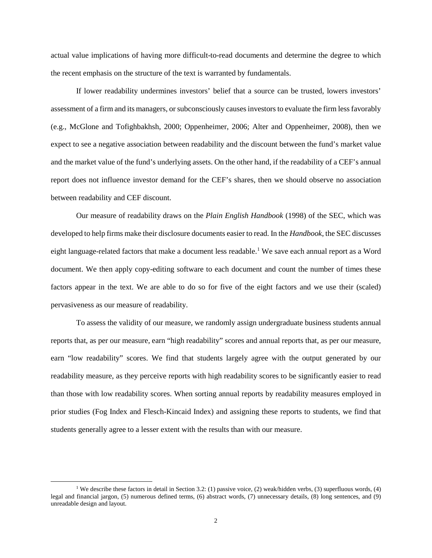actual value implications of having more difficult-to-read documents and determine the degree to which the recent emphasis on the structure of the text is warranted by fundamentals.

If lower readability undermines investors' belief that a source can be trusted, lowers investors' assessment of a firm and its managers, or subconsciously causes investors to evaluate the firm less favorably (e.g., McGlone and Tofighbakhsh, 2000; Oppenheimer, 2006; Alter and Oppenheimer, 2008), then we expect to see a negative association between readability and the discount between the fund's market value and the market value of the fund's underlying assets. On the other hand, if the readability of a CEF's annual report does not influence investor demand for the CEF's shares, then we should observe no association between readability and CEF discount.

Our measure of readability draws on the *Plain English Handbook* (1998) of the SEC, which was developed to help firms make their disclosure documents easier to read. In the *Handbook*, the SEC discusses eight language-related factors that make a document less readable.<sup>1</sup> We save each annual report as a Word document. We then apply copy-editing software to each document and count the number of times these factors appear in the text. We are able to do so for five of the eight factors and we use their (scaled) pervasiveness as our measure of readability.

To assess the validity of our measure, we randomly assign undergraduate business students annual reports that, as per our measure, earn "high readability" scores and annual reports that, as per our measure, earn "low readability" scores. We find that students largely agree with the output generated by our readability measure, as they perceive reports with high readability scores to be significantly easier to read than those with low readability scores. When sorting annual reports by readability measures employed in prior studies (Fog Index and Flesch-Kincaid Index) and assigning these reports to students, we find that students generally agree to a lesser extent with the results than with our measure.

 $\overline{a}$ 

<sup>&</sup>lt;sup>1</sup> We describe these factors in detail in Section 3.2: (1) passive voice, (2) weak/hidden verbs, (3) superfluous words, (4) legal and financial jargon, (5) numerous defined terms, (6) abstract words, (7) unnecessary details, (8) long sentences, and (9) unreadable design and layout.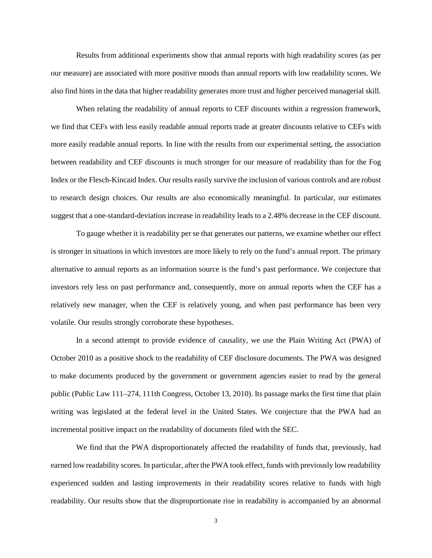Results from additional experiments show that annual reports with high readability scores (as per our measure) are associated with more positive moods than annual reports with low readability scores. We also find hints in the data that higher readability generates more trust and higher perceived managerial skill.

When relating the readability of annual reports to CEF discounts within a regression framework, we find that CEFs with less easily readable annual reports trade at greater discounts relative to CEFs with more easily readable annual reports. In line with the results from our experimental setting, the association between readability and CEF discounts is much stronger for our measure of readability than for the Fog Index or the Flesch-Kincaid Index. Our results easily survive the inclusion of various controls and are robust to research design choices. Our results are also economically meaningful. In particular, our estimates suggest that a one-standard-deviation increase in readability leads to a 2.48% decrease in the CEF discount.

To gauge whether it is readability per se that generates our patterns, we examine whether our effect is stronger in situations in which investors are more likely to rely on the fund's annual report. The primary alternative to annual reports as an information source is the fund's past performance. We conjecture that investors rely less on past performance and, consequently, more on annual reports when the CEF has a relatively new manager, when the CEF is relatively young, and when past performance has been very volatile. Our results strongly corroborate these hypotheses.

In a second attempt to provide evidence of causality, we use the Plain Writing Act (PWA) of October 2010 as a positive shock to the readability of CEF disclosure documents. The PWA was designed to make documents produced by the government or government agencies easier to read by the general public (Public Law 111–274, 111th Congress, October 13, 2010). Its passage marks the first time that plain writing was legislated at the federal level in the United States. We conjecture that the PWA had an incremental positive impact on the readability of documents filed with the SEC.

We find that the PWA disproportionately affected the readability of funds that, previously, had earned low readability scores. In particular, after the PWA took effect, funds with previously low readability experienced sudden and lasting improvements in their readability scores relative to funds with high readability. Our results show that the disproportionate rise in readability is accompanied by an abnormal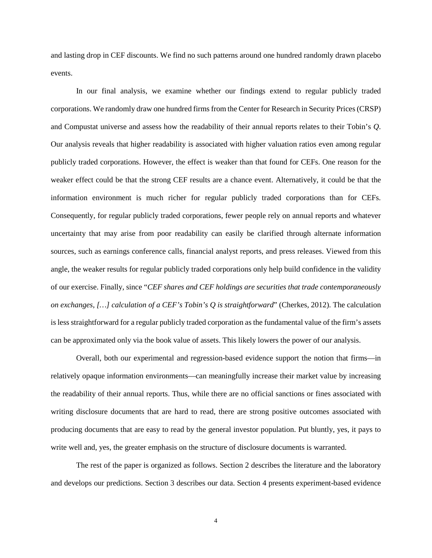and lasting drop in CEF discounts. We find no such patterns around one hundred randomly drawn placebo events.

In our final analysis, we examine whether our findings extend to regular publicly traded corporations. We randomly draw one hundred firms from the Center for Research in Security Prices (CRSP) and Compustat universe and assess how the readability of their annual reports relates to their Tobin's *Q*. Our analysis reveals that higher readability is associated with higher valuation ratios even among regular publicly traded corporations. However, the effect is weaker than that found for CEFs. One reason for the weaker effect could be that the strong CEF results are a chance event. Alternatively, it could be that the information environment is much richer for regular publicly traded corporations than for CEFs. Consequently, for regular publicly traded corporations, fewer people rely on annual reports and whatever uncertainty that may arise from poor readability can easily be clarified through alternate information sources, such as earnings conference calls, financial analyst reports, and press releases. Viewed from this angle, the weaker results for regular publicly traded corporations only help build confidence in the validity of our exercise. Finally, since "*CEF shares and CEF holdings are securities that trade contemporaneously on exchanges, […] calculation of a CEF's Tobin's Q is straightforward*" (Cherkes, 2012). The calculation is less straightforward for a regular publicly traded corporation as the fundamental value of the firm's assets can be approximated only via the book value of assets. This likely lowers the power of our analysis.

Overall, both our experimental and regression-based evidence support the notion that firms—in relatively opaque information environments—can meaningfully increase their market value by increasing the readability of their annual reports. Thus, while there are no official sanctions or fines associated with writing disclosure documents that are hard to read, there are strong positive outcomes associated with producing documents that are easy to read by the general investor population. Put bluntly, yes, it pays to write well and, yes, the greater emphasis on the structure of disclosure documents is warranted.

The rest of the paper is organized as follows. Section 2 describes the literature and the laboratory and develops our predictions. Section 3 describes our data. Section 4 presents experiment-based evidence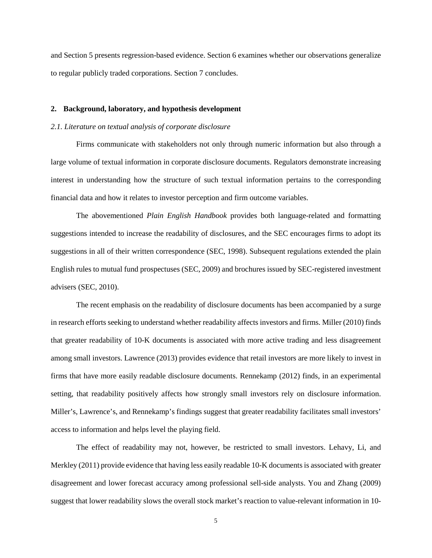and Section 5 presents regression-based evidence. Section 6 examines whether our observations generalize to regular publicly traded corporations. Section 7 concludes.

## **2. Background, laboratory, and hypothesis development**

#### *2.1. Literature on textual analysis of corporate disclosure*

Firms communicate with stakeholders not only through numeric information but also through a large volume of textual information in corporate disclosure documents. Regulators demonstrate increasing interest in understanding how the structure of such textual information pertains to the corresponding financial data and how it relates to investor perception and firm outcome variables.

The abovementioned *Plain English Handbook* provides both language-related and formatting suggestions intended to increase the readability of disclosures, and the SEC encourages firms to adopt its suggestions in all of their written correspondence (SEC, 1998). Subsequent regulations extended the plain English rules to mutual fund prospectuses (SEC, 2009) and brochures issued by SEC-registered investment advisers (SEC, 2010).

The recent emphasis on the readability of disclosure documents has been accompanied by a surge in research efforts seeking to understand whether readability affects investors and firms. Miller (2010) finds that greater readability of 10-K documents is associated with more active trading and less disagreement among small investors. Lawrence (2013) provides evidence that retail investors are more likely to invest in firms that have more easily readable disclosure documents. Rennekamp (2012) finds, in an experimental setting, that readability positively affects how strongly small investors rely on disclosure information. Miller's, Lawrence's, and Rennekamp's findings suggest that greater readability facilitates small investors' access to information and helps level the playing field.

The effect of readability may not, however, be restricted to small investors. Lehavy, Li, and Merkley (2011) provide evidence that having less easily readable 10-K documents is associated with greater disagreement and lower forecast accuracy among professional sell-side analysts. You and Zhang (2009) suggest that lower readability slows the overall stock market's reaction to value-relevant information in 10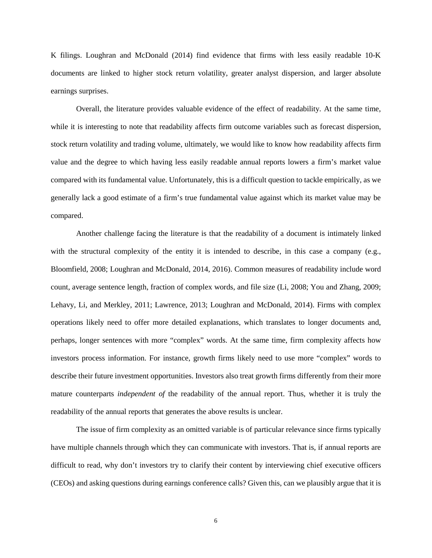K filings. Loughran and McDonald (2014) find evidence that firms with less easily readable 10-K documents are linked to higher stock return volatility, greater analyst dispersion, and larger absolute earnings surprises.

Overall, the literature provides valuable evidence of the effect of readability. At the same time, while it is interesting to note that readability affects firm outcome variables such as forecast dispersion, stock return volatility and trading volume, ultimately, we would like to know how readability affects firm value and the degree to which having less easily readable annual reports lowers a firm's market value compared with its fundamental value. Unfortunately, this is a difficult question to tackle empirically, as we generally lack a good estimate of a firm's true fundamental value against which its market value may be compared.

Another challenge facing the literature is that the readability of a document is intimately linked with the structural complexity of the entity it is intended to describe, in this case a company (e.g., Bloomfield, 2008; Loughran and McDonald, 2014, 2016). Common measures of readability include word count, average sentence length, fraction of complex words, and file size (Li, 2008; You and Zhang, 2009; Lehavy, Li, and Merkley, 2011; Lawrence, 2013; Loughran and McDonald, 2014). Firms with complex operations likely need to offer more detailed explanations, which translates to longer documents and, perhaps, longer sentences with more "complex" words. At the same time, firm complexity affects how investors process information. For instance, growth firms likely need to use more "complex" words to describe their future investment opportunities. Investors also treat growth firms differently from their more mature counterparts *independent of* the readability of the annual report. Thus, whether it is truly the readability of the annual reports that generates the above results is unclear.

The issue of firm complexity as an omitted variable is of particular relevance since firms typically have multiple channels through which they can communicate with investors. That is, if annual reports are difficult to read, why don't investors try to clarify their content by interviewing chief executive officers (CEOs) and asking questions during earnings conference calls? Given this, can we plausibly argue that it is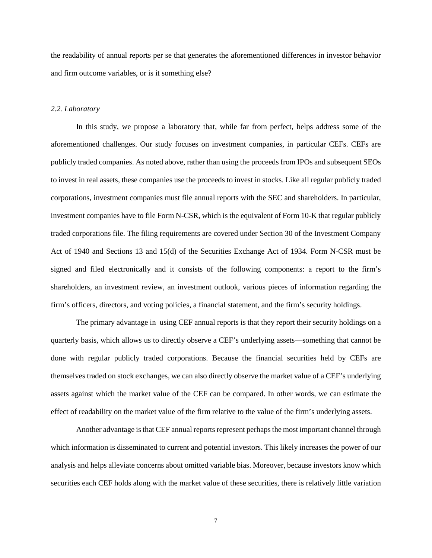the readability of annual reports per se that generates the aforementioned differences in investor behavior and firm outcome variables, or is it something else?

### *2.2. Laboratory*

In this study, we propose a laboratory that, while far from perfect, helps address some of the aforementioned challenges. Our study focuses on investment companies, in particular CEFs. CEFs are publicly traded companies. As noted above, rather than using the proceeds from IPOs and subsequent SEOs to invest in real assets, these companies use the proceeds to invest in stocks. Like all regular publicly traded corporations, investment companies must file annual reports with the SEC and shareholders. In particular, investment companies have to file Form N-CSR, which is the equivalent of Form 10-K that regular publicly traded corporations file. The filing requirements are covered under Section 30 of the Investment Company Act of 1940 and Sections 13 and 15(d) of the Securities Exchange Act of 1934. Form N-CSR must be signed and filed electronically and it consists of the following components: a report to the firm's shareholders, an investment review, an investment outlook, various pieces of information regarding the firm's officers, directors, and voting policies, a financial statement, and the firm's security holdings.

The primary advantage in using CEF annual reports is that they report their security holdings on a quarterly basis, which allows us to directly observe a CEF's underlying assets—something that cannot be done with regular publicly traded corporations. Because the financial securities held by CEFs are themselves traded on stock exchanges, we can also directly observe the market value of a CEF's underlying assets against which the market value of the CEF can be compared. In other words, we can estimate the effect of readability on the market value of the firm relative to the value of the firm's underlying assets.

Another advantage is that CEF annual reports represent perhaps the most important channel through which information is disseminated to current and potential investors. This likely increases the power of our analysis and helps alleviate concerns about omitted variable bias. Moreover, because investors know which securities each CEF holds along with the market value of these securities, there is relatively little variation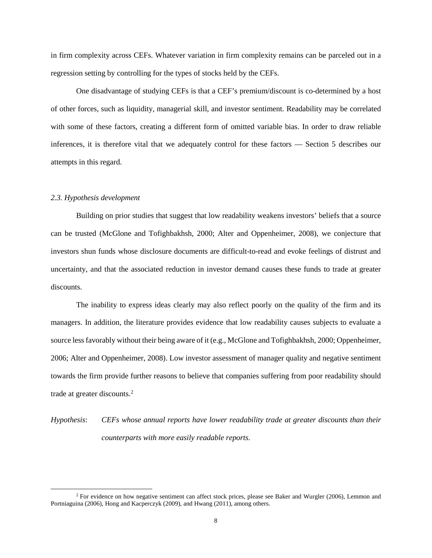in firm complexity across CEFs. Whatever variation in firm complexity remains can be parceled out in a regression setting by controlling for the types of stocks held by the CEFs.

One disadvantage of studying CEFs is that a CEF's premium/discount is co-determined by a host of other forces, such as liquidity, managerial skill, and investor sentiment. Readability may be correlated with some of these factors, creating a different form of omitted variable bias. In order to draw reliable inferences, it is therefore vital that we adequately control for these factors — Section 5 describes our attempts in this regard.

### *2.3. Hypothesis development*

 $\overline{a}$ 

Building on prior studies that suggest that low readability weakens investors' beliefs that a source can be trusted (McGlone and Tofighbakhsh, 2000; Alter and Oppenheimer, 2008), we conjecture that investors shun funds whose disclosure documents are difficult-to-read and evoke feelings of distrust and uncertainty, and that the associated reduction in investor demand causes these funds to trade at greater discounts.

The inability to express ideas clearly may also reflect poorly on the quality of the firm and its managers. In addition, the literature provides evidence that low readability causes subjects to evaluate a source less favorably without their being aware of it (e.g., McGlone and Tofighbakhsh, 2000; Oppenheimer, 2006; Alter and Oppenheimer, 2008). Low investor assessment of manager quality and negative sentiment towards the firm provide further reasons to believe that companies suffering from poor readability should trade at greater discounts. 2

# *Hypothesis*: *CEFs whose annual reports have lower readability trade at greater discounts than their counterparts with more easily readable reports.*

<sup>&</sup>lt;sup>2</sup> For evidence on how negative sentiment can affect stock prices, please see Baker and Wurgler (2006), Lemmon and Portniaguina (2006), Hong and Kacperczyk (2009), and Hwang (2011), among others.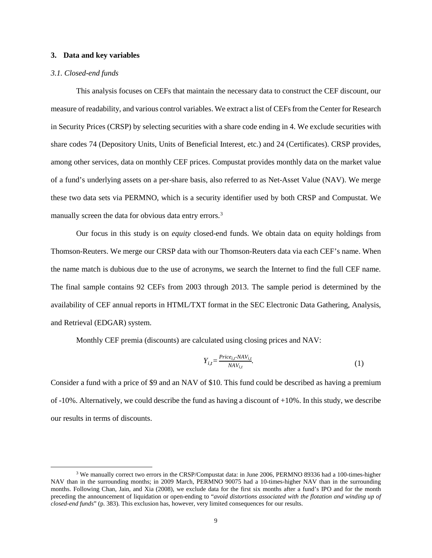### **3. Data and key variables**

### *3.1. Closed-end funds*

 $\overline{a}$ 

This analysis focuses on CEFs that maintain the necessary data to construct the CEF discount, our measure of readability, and various control variables. We extract a list of CEFs from the Center for Research in Security Prices (CRSP) by selecting securities with a share code ending in 4. We exclude securities with share codes 74 (Depository Units, Units of Beneficial Interest, etc.) and 24 (Certificates). CRSP provides, among other services, data on monthly CEF prices. Compustat provides monthly data on the market value of a fund's underlying assets on a per-share basis, also referred to as Net-Asset Value (NAV). We merge these two data sets via PERMNO, which is a security identifier used by both CRSP and Compustat. We manually screen the data for obvious data entry errors.<sup>3</sup>

Our focus in this study is on *equity* closed-end funds. We obtain data on equity holdings from Thomson-Reuters. We merge our CRSP data with our Thomson-Reuters data via each CEF's name. When the name match is dubious due to the use of acronyms, we search the Internet to find the full CEF name. The final sample contains 92 CEFs from 2003 through 2013. The sample period is determined by the availability of CEF annual reports in HTML/TXT format in the SEC Electronic Data Gathering, Analysis, and Retrieval (EDGAR) system.

Monthly CEF premia (discounts) are calculated using closing prices and NAV:

$$
Y_{i,t} = \frac{Price_{i,t} \cdot NAV_{i,t}}{NAV_{i,t}}.\tag{1}
$$

Consider a fund with a price of \$9 and an NAV of \$10. This fund could be described as having a premium of  $-10\%$ . Alternatively, we could describe the fund as having a discount of  $+10\%$ . In this study, we describe our results in terms of discounts.

<sup>&</sup>lt;sup>3</sup> We manually correct two errors in the CRSP/Compustat data: in June 2006, PERMNO 89336 had a 100-times-higher NAV than in the surrounding months; in 2009 March, PERMNO 90075 had a 10-times-higher NAV than in the surrounding months. Following Chan, Jain, and Xia (2008), we exclude data for the first six months after a fund's IPO and for the month preceding the announcement of liquidation or open-ending to "*avoid distortions associated with the flotation and winding up of closed-end funds*" (p. 383). This exclusion has, however, very limited consequences for our results.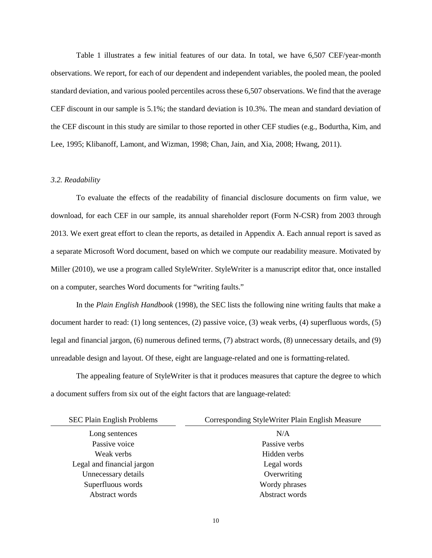Table 1 illustrates a few initial features of our data. In total, we have 6,507 CEF/year-month observations. We report, for each of our dependent and independent variables, the pooled mean, the pooled standard deviation, and various pooled percentiles across these 6,507 observations. We find that the average CEF discount in our sample is 5.1%; the standard deviation is 10.3%. The mean and standard deviation of the CEF discount in this study are similar to those reported in other CEF studies (e.g., Bodurtha, Kim, and Lee, 1995; Klibanoff, Lamont, and Wizman, 1998; Chan, Jain, and Xia, 2008; Hwang, 2011).

#### *3.2. Readability*

To evaluate the effects of the readability of financial disclosure documents on firm value, we download, for each CEF in our sample, its annual shareholder report (Form N-CSR) from 2003 through 2013. We exert great effort to clean the reports, as detailed in Appendix A. Each annual report is saved as a separate Microsoft Word document, based on which we compute our readability measure. Motivated by Miller (2010), we use a program called StyleWriter. StyleWriter is a manuscript editor that, once installed on a computer, searches Word documents for "writing faults."

In the *Plain English Handbook* (1998), the SEC lists the following nine writing faults that make a document harder to read: (1) long sentences, (2) passive voice, (3) weak verbs, (4) superfluous words, (5) legal and financial jargon, (6) numerous defined terms, (7) abstract words, (8) unnecessary details, and (9) unreadable design and layout. Of these, eight are language-related and one is formatting-related.

The appealing feature of StyleWriter is that it produces measures that capture the degree to which a document suffers from six out of the eight factors that are language-related:

| <b>SEC Plain English Problems</b> | Corresponding StyleWriter Plain English Measure |  |  |
|-----------------------------------|-------------------------------------------------|--|--|
| Long sentences                    | N/A                                             |  |  |
| Passive voice                     | Passive verbs                                   |  |  |
| Weak verbs                        | Hidden verbs                                    |  |  |
| Legal and financial jargon        | Legal words                                     |  |  |
| Unnecessary details               | Overwriting                                     |  |  |
| Superfluous words                 | Wordy phrases                                   |  |  |
| Abstract words                    | Abstract words                                  |  |  |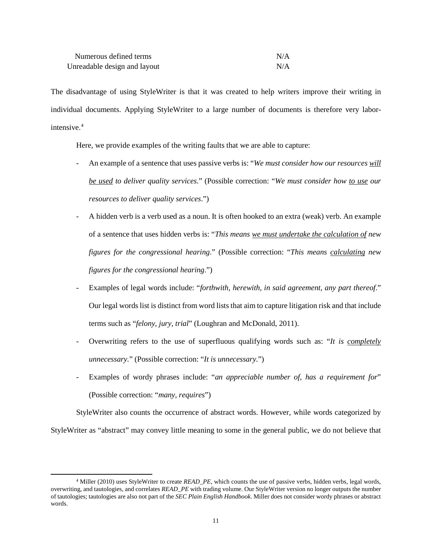| Numerous defined terms       | N/A |
|------------------------------|-----|
| Unreadable design and layout | N/A |

The disadvantage of using StyleWriter is that it was created to help writers improve their writing in individual documents. Applying StyleWriter to a large number of documents is therefore very laborintensive.4

Here, we provide examples of the writing faults that we are able to capture:

- An example of a sentence that uses passive verbs is: "*We must consider how our resources will be used to deliver quality services*." (Possible correction: "*We must consider how to use our resources to deliver quality services*.")
- A hidden verb is a verb used as a noun. It is often hooked to an extra (weak) verb. An example of a sentence that uses hidden verbs is: "*This means we must undertake the calculation of new figures for the congressional hearing*." (Possible correction: "*This means calculating new figures for the congressional hearing*.")
- Examples of legal words include: "*forthwith, herewith, in said agreement, any part thereof*." Our legal words list is distinct from word lists that aim to capture litigation risk and that include terms such as "*felony, jury, trial*" (Loughran and McDonald, 2011).
- Overwriting refers to the use of superfluous qualifying words such as: "*It is completely unnecessary.*" (Possible correction: "*It is unnecessary.*")
- Examples of wordy phrases include: "*an appreciable number of, has a requirement for*" (Possible correction: "*many, requires*")

StyleWriter also counts the occurrence of abstract words. However, while words categorized by StyleWriter as "abstract" may convey little meaning to some in the general public, we do not believe that

 $\overline{\phantom{a}}$ 

<sup>&</sup>lt;sup>4</sup> Miller (2010) uses StyleWriter to create *READ PE*, which counts the use of passive verbs, hidden verbs, legal words, overwriting, and tautologies, and correlates *READ\_PE* with trading volume. Our StyleWriter version no longer outputs the number of tautologies; tautologies are also not part of the *SEC Plain English Handbook*. Miller does not consider wordy phrases or abstract words.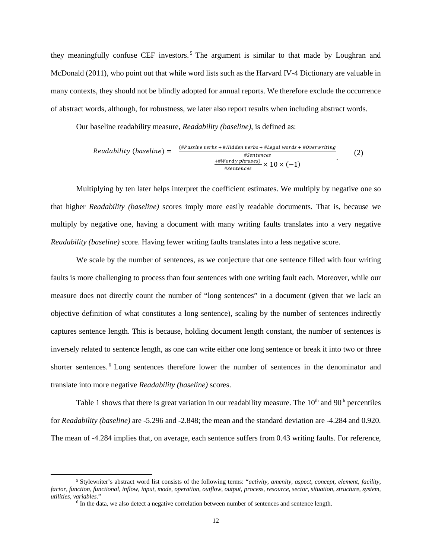they meaningfully confuse CEF investors.<sup>5</sup> The argument is similar to that made by Loughran and McDonald (2011), who point out that while word lists such as the Harvard IV-4 Dictionary are valuable in many contexts, they should not be blindly adopted for annual reports. We therefore exclude the occurrence of abstract words, although, for robustness, we later also report results when including abstract words.

Our baseline readability measure, *Readability (baseline)*, is defined as:

$$
Readability (baseline) = \frac{(\#Passive verbs + #Hidden verbs + #legal words + #Overwriting \#Sentences)}{\#Sentences} \times 10 \times (-1)
$$
 (2)

Multiplying by ten later helps interpret the coefficient estimates. We multiply by negative one so that higher *Readability (baseline)* scores imply more easily readable documents. That is, because we multiply by negative one, having a document with many writing faults translates into a very negative *Readability (baseline)* score. Having fewer writing faults translates into a less negative score.

We scale by the number of sentences, as we conjecture that one sentence filled with four writing faults is more challenging to process than four sentences with one writing fault each. Moreover, while our measure does not directly count the number of "long sentences" in a document (given that we lack an objective definition of what constitutes a long sentence), scaling by the number of sentences indirectly captures sentence length. This is because, holding document length constant, the number of sentences is inversely related to sentence length, as one can write either one long sentence or break it into two or three shorter sentences. <sup>6</sup> Long sentences therefore lower the number of sentences in the denominator and translate into more negative *Readability (baseline)* scores.

Table 1 shows that there is great variation in our readability measure. The  $10<sup>th</sup>$  and  $90<sup>th</sup>$  percentiles for *Readability (baseline)* are -5.296 and -2.848; the mean and the standard deviation are -4.284 and 0.920. The mean of -4.284 implies that, on average, each sentence suffers from 0.43 writing faults. For reference,

 $\overline{\phantom{a}}$ 

<sup>5</sup> Stylewriter's abstract word list consists of the following terms: "*activity, amenity, aspect, concept, element, facility,* factor, function, functional, inflow, input, mode, operation, outflow, output, process, resource, sector, situation, structure, system, *utilities, variables*."

<sup>6</sup> In the data, we also detect a negative correlation between number of sentences and sentence length.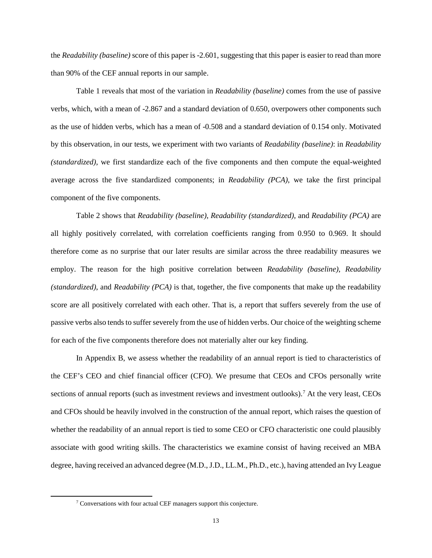the *Readability (baseline)* score of this paper is -2.601, suggesting that this paper is easier to read than more than 90% of the CEF annual reports in our sample.

Table 1 reveals that most of the variation in *Readability (baseline)* comes from the use of passive verbs, which, with a mean of -2.867 and a standard deviation of 0.650, overpowers other components such as the use of hidden verbs, which has a mean of -0.508 and a standard deviation of 0.154 only. Motivated by this observation, in our tests, we experiment with two variants of *Readability (baseline)*: in *Readability (standardized)*, we first standardize each of the five components and then compute the equal-weighted average across the five standardized components; in *Readability (PCA)*, we take the first principal component of the five components.

Table 2 shows that *Readability (baseline)*, *Readability (standardized)*, and *Readability (PCA)* are all highly positively correlated, with correlation coefficients ranging from 0.950 to 0.969. It should therefore come as no surprise that our later results are similar across the three readability measures we employ. The reason for the high positive correlation between *Readability (baseline)*, *Readability (standardized)*, and *Readability (PCA)* is that, together, the five components that make up the readability score are all positively correlated with each other. That is, a report that suffers severely from the use of passive verbs also tends to suffer severely from the use of hidden verbs. Our choice of the weighting scheme for each of the five components therefore does not materially alter our key finding.

In Appendix B, we assess whether the readability of an annual report is tied to characteristics of the CEF's CEO and chief financial officer (CFO). We presume that CEOs and CFOs personally write sections of annual reports (such as investment reviews and investment outlooks).<sup>7</sup> At the very least, CEOs and CFOs should be heavily involved in the construction of the annual report, which raises the question of whether the readability of an annual report is tied to some CEO or CFO characteristic one could plausibly associate with good writing skills. The characteristics we examine consist of having received an MBA degree, having received an advanced degree (M.D., J.D., LL.M., Ph.D., etc.), having attended an Ivy League

l

<sup>7</sup> Conversations with four actual CEF managers support this conjecture.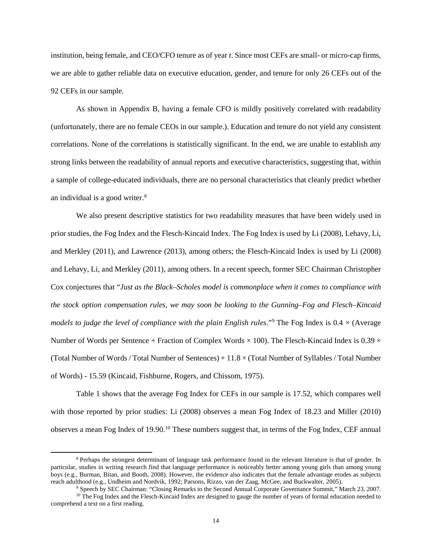institution, being female, and CEO/CFO tenure as of year *t*. Since most CEFs are small- or micro-cap firms, we are able to gather reliable data on executive education, gender, and tenure for only 26 CEFs out of the 92 CEFs in our sample.

As shown in Appendix B, having a female CFO is mildly positively correlated with readability (unfortunately, there are no female CEOs in our sample.). Education and tenure do not yield any consistent correlations. None of the correlations is statistically significant. In the end, we are unable to establish any strong links between the readability of annual reports and executive characteristics, suggesting that, within a sample of college-educated individuals, there are no personal characteristics that cleanly predict whether an individual is a good writer.<sup>8</sup>

We also present descriptive statistics for two readability measures that have been widely used in prior studies, the Fog Index and the Flesch-Kincaid Index. The Fog Index is used by Li (2008), Lehavy, Li, and Merkley (2011), and Lawrence (2013), among others; the Flesch-Kincaid Index is used by Li (2008) and Lehavy, Li, and Merkley (2011), among others. In a recent speech, former SEC Chairman Christopher Cox conjectures that "*Just as the Black–Scholes model is commonplace when it comes to compliance with the stock option compensation rules, we may soon be looking to the Gunning–Fog and Flesch–Kincaid models to judge the level of compliance with the plain English rules.*<sup>"9</sup> The Fog Index is  $0.4 \times (A)$  erage Number of Words per Sentence + Fraction of Complex Words  $\times$  100). The Flesch-Kincaid Index is 0.39  $\times$ (Total Number of Words / Total Number of Sentences)  $+11.8 \times$  (Total Number of Syllables / Total Number of Words) - 15.59 (Kincaid, Fishburne, Rogers, and Chissom, 1975).

Table 1 shows that the average Fog Index for CEFs in our sample is 17.52, which compares well with those reported by prior studies: Li (2008) observes a mean Fog Index of 18.23 and Miller (2010) observes a mean Fog Index of 19.90.10 These numbers suggest that, in terms of the Fog Index, CEF annual

 $\overline{\phantom{a}}$ 

<sup>&</sup>lt;sup>8</sup> Perhaps the strongest determinant of language task performance found in the relevant literature is that of gender. In particular, studies in writing research find that language performance is noticeably better among young girls than among young boys (e.g., Burman, Bitan, and Booth, 2008). However, the evidence also indicates that the female advantage erodes as subjects reach adulthood (e.g., Undheim and Nordvik, 1992; Parsons, Rizzo, van der Zaag, McGee, and Buckwalter, 2005).

<sup>9</sup> Speech by SEC Chairman: "Closing Remarks to the Second Annual Corporate Governance Summit," March 23, 2007.

<sup>&</sup>lt;sup>10</sup> The Fog Index and the Flesch-Kincaid Index are designed to gauge the number of years of formal education needed to comprehend a text on a first reading.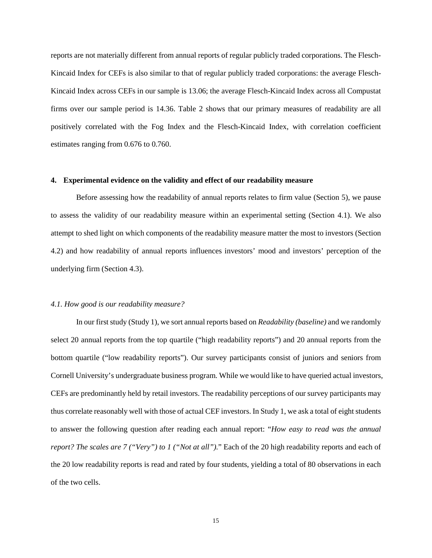reports are not materially different from annual reports of regular publicly traded corporations. The Flesch-Kincaid Index for CEFs is also similar to that of regular publicly traded corporations: the average Flesch-Kincaid Index across CEFs in our sample is 13.06; the average Flesch-Kincaid Index across all Compustat firms over our sample period is 14.36. Table 2 shows that our primary measures of readability are all positively correlated with the Fog Index and the Flesch-Kincaid Index, with correlation coefficient estimates ranging from 0.676 to 0.760.

#### **4. Experimental evidence on the validity and effect of our readability measure**

Before assessing how the readability of annual reports relates to firm value (Section 5), we pause to assess the validity of our readability measure within an experimental setting (Section 4.1). We also attempt to shed light on which components of the readability measure matter the most to investors (Section 4.2) and how readability of annual reports influences investors' mood and investors' perception of the underlying firm (Section 4.3).

## *4.1. How good is our readability measure?*

In our first study (Study 1), we sort annual reports based on *Readability (baseline)* and we randomly select 20 annual reports from the top quartile ("high readability reports") and 20 annual reports from the bottom quartile ("low readability reports"). Our survey participants consist of juniors and seniors from Cornell University's undergraduate business program. While we would like to have queried actual investors, CEFs are predominantly held by retail investors. The readability perceptions of our survey participants may thus correlate reasonably well with those of actual CEF investors. In Study 1, we ask a total of eight students to answer the following question after reading each annual report: "*How easy to read was the annual report? The scales are 7 ("Very") to 1 ("Not at all").*" Each of the 20 high readability reports and each of the 20 low readability reports is read and rated by four students, yielding a total of 80 observations in each of the two cells.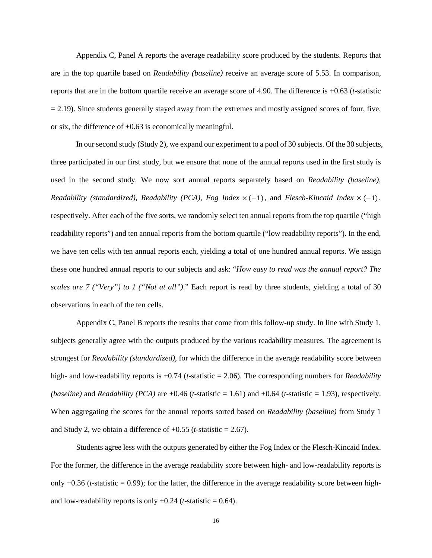Appendix C, Panel A reports the average readability score produced by the students. Reports that are in the top quartile based on *Readability (baseline)* receive an average score of 5.53. In comparison, reports that are in the bottom quartile receive an average score of 4.90. The difference is +0.63 (*t*-statistic  $= 2.19$ ). Since students generally stayed away from the extremes and mostly assigned scores of four, five, or six, the difference of +0.63 is economically meaningful.

In our second study (Study 2), we expand our experiment to a pool of 30 subjects. Of the 30 subjects, three participated in our first study, but we ensure that none of the annual reports used in the first study is used in the second study. We now sort annual reports separately based on *Readability (baseline)*, *Readability (standardized)*, *Readability (PCA)*, *Fog Index* × (−1) , and *Flesch-Kincaid Index* × (−1) , respectively. After each of the five sorts, we randomly select ten annual reports from the top quartile ("high readability reports") and ten annual reports from the bottom quartile ("low readability reports"). In the end, we have ten cells with ten annual reports each, yielding a total of one hundred annual reports. We assign these one hundred annual reports to our subjects and ask: "*How easy to read was the annual report? The scales are 7 ("Very") to 1 ("Not at all")*." Each report is read by three students, yielding a total of 30 observations in each of the ten cells.

Appendix C, Panel B reports the results that come from this follow-up study. In line with Study 1, subjects generally agree with the outputs produced by the various readability measures. The agreement is strongest for *Readability (standardized)*, for which the difference in the average readability score between high- and low-readability reports is  $+0.74$  (*t*-statistic = 2.06). The corresponding numbers for *Readability (baseline)* and *Readability (PCA)* are  $+0.46$  (*t*-statistic = 1.61) and  $+0.64$  (*t*-statistic = 1.93), respectively. When aggregating the scores for the annual reports sorted based on *Readability (baseline)* from Study 1 and Study 2, we obtain a difference of  $+0.55$  (*t*-statistic = 2.67).

Students agree less with the outputs generated by either the Fog Index or the Flesch-Kincaid Index. For the former, the difference in the average readability score between high- and low-readability reports is only  $+0.36$  (*t*-statistic = 0.99); for the latter, the difference in the average readability score between highand low-readability reports is only  $+0.24$  (*t*-statistic = 0.64).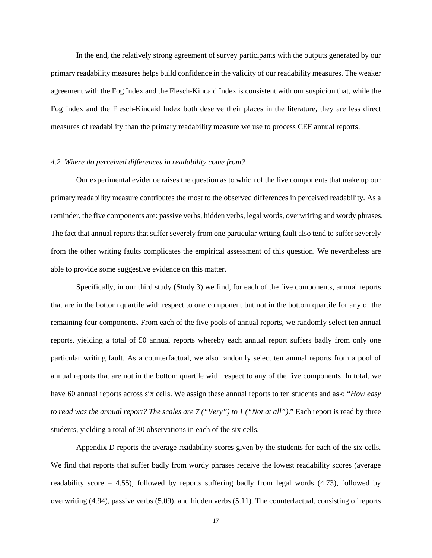In the end, the relatively strong agreement of survey participants with the outputs generated by our primary readability measures helps build confidence in the validity of our readability measures. The weaker agreement with the Fog Index and the Flesch-Kincaid Index is consistent with our suspicion that, while the Fog Index and the Flesch-Kincaid Index both deserve their places in the literature, they are less direct measures of readability than the primary readability measure we use to process CEF annual reports.

### *4.2. Where do perceived differences in readability come from?*

Our experimental evidence raises the question as to which of the five components that make up our primary readability measure contributes the most to the observed differences in perceived readability. As a reminder, the five components are: passive verbs, hidden verbs, legal words, overwriting and wordy phrases. The fact that annual reports that suffer severely from one particular writing fault also tend to suffer severely from the other writing faults complicates the empirical assessment of this question. We nevertheless are able to provide some suggestive evidence on this matter.

Specifically, in our third study (Study 3) we find, for each of the five components, annual reports that are in the bottom quartile with respect to one component but not in the bottom quartile for any of the remaining four components. From each of the five pools of annual reports, we randomly select ten annual reports, yielding a total of 50 annual reports whereby each annual report suffers badly from only one particular writing fault. As a counterfactual, we also randomly select ten annual reports from a pool of annual reports that are not in the bottom quartile with respect to any of the five components. In total, we have 60 annual reports across six cells. We assign these annual reports to ten students and ask: "*How easy to read was the annual report? The scales are 7 ("Very") to 1 ("Not at all")*." Each report is read by three students, yielding a total of 30 observations in each of the six cells.

Appendix D reports the average readability scores given by the students for each of the six cells. We find that reports that suffer badly from wordy phrases receive the lowest readability scores (average readability score  $= 4.55$ ), followed by reports suffering badly from legal words (4.73), followed by overwriting (4.94), passive verbs (5.09), and hidden verbs (5.11). The counterfactual, consisting of reports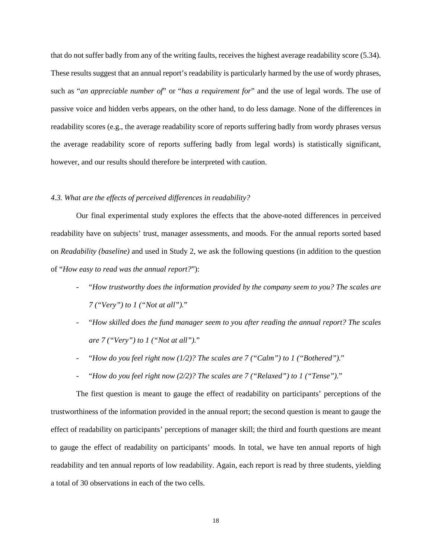that do not suffer badly from any of the writing faults, receives the highest average readability score (5.34). These results suggest that an annual report's readability is particularly harmed by the use of wordy phrases, such as "*an appreciable number of*" or "*has a requirement for*" and the use of legal words. The use of passive voice and hidden verbs appears, on the other hand, to do less damage. None of the differences in readability scores (e.g., the average readability score of reports suffering badly from wordy phrases versus the average readability score of reports suffering badly from legal words) is statistically significant, however, and our results should therefore be interpreted with caution.

# *4.3. What are the effects of perceived differences in readability?*

Our final experimental study explores the effects that the above-noted differences in perceived readability have on subjects' trust, manager assessments, and moods. For the annual reports sorted based on *Readability (baseline)* and used in Study 2, we ask the following questions (in addition to the question of "*How easy to read was the annual report?*"):

- "*How trustworthy does the information provided by the company seem to you? The scales are 7 ("Very") to 1 ("Not at all").*"
- "*How skilled does the fund manager seem to you after reading the annual report? The scales are 7 ("Very") to 1 ("Not at all").*"
- "*How do you feel right now (1/2)? The scales are 7 ("Calm") to 1 ("Bothered").*"
- "*How do you feel right now (2/2)? The scales are 7 ("Relaxed") to 1 ("Tense").*"

The first question is meant to gauge the effect of readability on participants' perceptions of the trustworthiness of the information provided in the annual report; the second question is meant to gauge the effect of readability on participants' perceptions of manager skill; the third and fourth questions are meant to gauge the effect of readability on participants' moods. In total, we have ten annual reports of high readability and ten annual reports of low readability. Again, each report is read by three students, yielding a total of 30 observations in each of the two cells.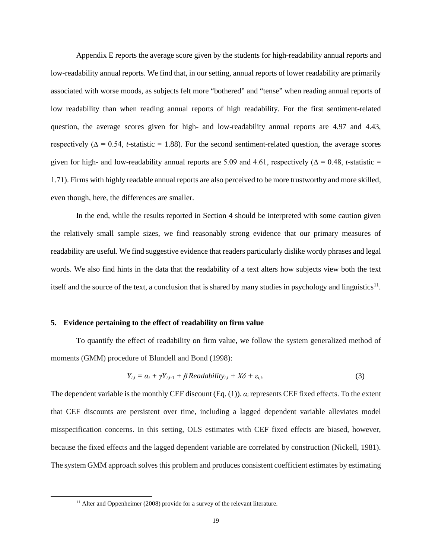Appendix E reports the average score given by the students for high-readability annual reports and low-readability annual reports. We find that, in our setting, annual reports of lower readability are primarily associated with worse moods, as subjects felt more "bothered" and "tense" when reading annual reports of low readability than when reading annual reports of high readability. For the first sentiment-related question, the average scores given for high- and low-readability annual reports are 4.97 and 4.43, respectively ( $\Delta = 0.54$ , *t*-statistic = 1.88). For the second sentiment-related question, the average scores given for high- and low-readability annual reports are 5.09 and 4.61, respectively ( $\Delta = 0.48$ , *t*-statistic = 1.71). Firms with highly readable annual reports are also perceived to be more trustworthy and more skilled, even though, here, the differences are smaller.

In the end, while the results reported in Section 4 should be interpreted with some caution given the relatively small sample sizes, we find reasonably strong evidence that our primary measures of readability are useful. We find suggestive evidence that readers particularly dislike wordy phrases and legal words. We also find hints in the data that the readability of a text alters how subjects view both the text itself and the source of the text, a conclusion that is shared by many studies in psychology and linguistics<sup>11</sup>.

#### **5. Evidence pertaining to the effect of readability on firm value**

To quantify the effect of readability on firm value, we follow the system generalized method of moments (GMM) procedure of Blundell and Bond (1998):

$$
Y_{i,t} = \alpha_i + \gamma Y_{i,t-1} + \beta \text{Readability}_{i,t} + X\delta + \varepsilon_{i,t}.
$$
\n(3)

The dependent variable is the monthly CEF discount (Eq. (1)). *α<sup>i</sup>* represents CEF fixed effects. To the extent that CEF discounts are persistent over time, including a lagged dependent variable alleviates model misspecification concerns. In this setting, OLS estimates with CEF fixed effects are biased, however, because the fixed effects and the lagged dependent variable are correlated by construction (Nickell, 1981). The system GMM approach solves this problem and produces consistent coefficient estimates by estimating

l

<sup>&</sup>lt;sup>11</sup> Alter and Oppenheimer (2008) provide for a survey of the relevant literature.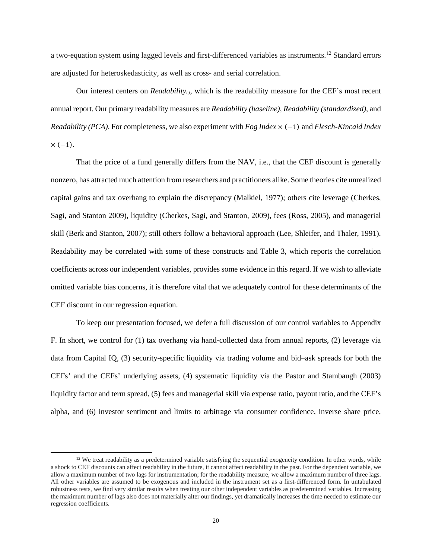a two-equation system using lagged levels and first-differenced variables as instruments.12 Standard errors are adjusted for heteroskedasticity, as well as cross- and serial correlation.

Our interest centers on *Readabilityi,t*, which is the readability measure for the CEF's most recent annual report. Our primary readability measures are *Readability (baseline)*, *Readability (standardized)*, and *Readability (PCA)*. For completeness, we also experiment with *Fog Index* × (−1) and *Flesch-Kincaid Index*  $\times$  (-1).

That the price of a fund generally differs from the NAV, i.e., that the CEF discount is generally nonzero, has attracted much attention from researchers and practitioners alike. Some theories cite unrealized capital gains and tax overhang to explain the discrepancy (Malkiel, 1977); others cite leverage (Cherkes, Sagi, and Stanton 2009), liquidity (Cherkes, Sagi, and Stanton, 2009), fees (Ross, 2005), and managerial skill (Berk and Stanton, 2007); still others follow a behavioral approach (Lee, Shleifer, and Thaler, 1991). Readability may be correlated with some of these constructs and Table 3, which reports the correlation coefficients across our independent variables, provides some evidence in this regard. If we wish to alleviate omitted variable bias concerns, it is therefore vital that we adequately control for these determinants of the CEF discount in our regression equation.

To keep our presentation focused, we defer a full discussion of our control variables to Appendix F. In short, we control for (1) tax overhang via hand-collected data from annual reports, (2) leverage via data from Capital IQ, (3) security-specific liquidity via trading volume and bid–ask spreads for both the CEFs' and the CEFs' underlying assets, (4) systematic liquidity via the Pastor and Stambaugh (2003) liquidity factor and term spread, (5) fees and managerial skill via expense ratio, payout ratio, and the CEF's alpha, and (6) investor sentiment and limits to arbitrage via consumer confidence, inverse share price,

 $\overline{\phantom{a}}$ 

 $12$  We treat readability as a predetermined variable satisfying the sequential exogeneity condition. In other words, while a shock to CEF discounts can affect readability in the future, it cannot affect readability in the past. For the dependent variable, we allow a maximum number of two lags for instrumentation; for the readability measure, we allow a maximum number of three lags. All other variables are assumed to be exogenous and included in the instrument set as a first-differenced form. In untabulated robustness tests, we find very similar results when treating our other independent variables as predetermined variables. Increasing the maximum number of lags also does not materially alter our findings, yet dramatically increases the time needed to estimate our regression coefficients.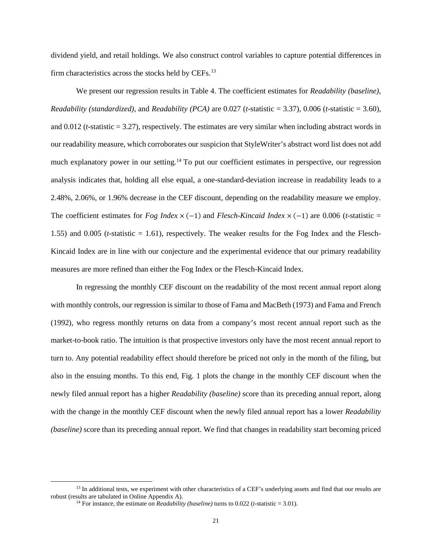dividend yield, and retail holdings. We also construct control variables to capture potential differences in firm characteristics across the stocks held by CEFs.<sup>13</sup>

We present our regression results in Table 4. The coefficient estimates for *Readability (baseline)*, *Readability (standardized)*, and *Readability (PCA)* are 0.027 (*t*-statistic = 3.37), 0.006 (*t*-statistic = 3.60), and 0.012 (*t*-statistic = 3.27), respectively. The estimates are very similar when including abstract words in our readability measure, which corroborates our suspicion that StyleWriter's abstract word list does not add much explanatory power in our setting.<sup>14</sup> To put our coefficient estimates in perspective, our regression analysis indicates that, holding all else equal, a one-standard-deviation increase in readability leads to a 2.48%, 2.06%, or 1.96% decrease in the CEF discount, depending on the readability measure we employ. The coefficient estimates for *Fog Index*  $\times$  (−1) and *Flesch-Kincaid Index*  $\times$  (−1) are 0.006 (*t*-statistic = 1.55) and 0.005 (*t*-statistic = 1.61), respectively. The weaker results for the Fog Index and the Flesch-Kincaid Index are in line with our conjecture and the experimental evidence that our primary readability measures are more refined than either the Fog Index or the Flesch-Kincaid Index.

In regressing the monthly CEF discount on the readability of the most recent annual report along with monthly controls, our regression is similar to those of Fama and MacBeth (1973) and Fama and French (1992), who regress monthly returns on data from a company's most recent annual report such as the market-to-book ratio. The intuition is that prospective investors only have the most recent annual report to turn to. Any potential readability effect should therefore be priced not only in the month of the filing, but also in the ensuing months. To this end, Fig. 1 plots the change in the monthly CEF discount when the newly filed annual report has a higher *Readability (baseline)* score than its preceding annual report, along with the change in the monthly CEF discount when the newly filed annual report has a lower *Readability (baseline)* score than its preceding annual report. We find that changes in readability start becoming priced

 $\overline{a}$ 

 $<sup>13</sup>$  In additional tests, we experiment with other characteristics of a CEF's underlying assets and find that our results are</sup> robust (results are tabulated in Online Appendix A).

<sup>&</sup>lt;sup>14</sup> For instance, the estimate on *Readability (baseline)* turns to 0.022 (*t*-statistic = 3.01).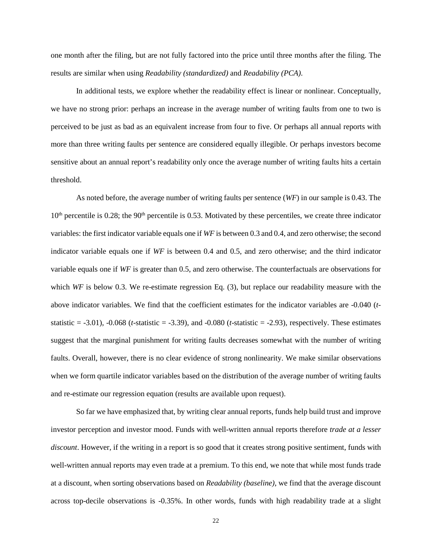one month after the filing, but are not fully factored into the price until three months after the filing. The results are similar when using *Readability (standardized)* and *Readability (PCA)*.

In additional tests, we explore whether the readability effect is linear or nonlinear. Conceptually, we have no strong prior: perhaps an increase in the average number of writing faults from one to two is perceived to be just as bad as an equivalent increase from four to five. Or perhaps all annual reports with more than three writing faults per sentence are considered equally illegible. Or perhaps investors become sensitive about an annual report's readability only once the average number of writing faults hits a certain threshold.

As noted before, the average number of writing faults per sentence (*WF*) in our sample is 0.43. The  $10<sup>th</sup>$  percentile is 0.28; the 90<sup>th</sup> percentile is 0.53. Motivated by these percentiles, we create three indicator variables: the first indicator variable equals one if *WF* is between 0.3 and 0.4, and zero otherwise; the second indicator variable equals one if *WF* is between 0.4 and 0.5, and zero otherwise; and the third indicator variable equals one if *WF* is greater than 0.5, and zero otherwise. The counterfactuals are observations for which *WF* is below 0.3. We re-estimate regression Eq. (3), but replace our readability measure with the above indicator variables. We find that the coefficient estimates for the indicator variables are -0.040 (*t*statistic  $= -3.01$ ),  $-0.068$  (*t*-statistic  $= -3.39$ ), and  $-0.080$  (*t*-statistic  $= -2.93$ ), respectively. These estimates suggest that the marginal punishment for writing faults decreases somewhat with the number of writing faults. Overall, however, there is no clear evidence of strong nonlinearity. We make similar observations when we form quartile indicator variables based on the distribution of the average number of writing faults and re-estimate our regression equation (results are available upon request).

So far we have emphasized that, by writing clear annual reports, funds help build trust and improve investor perception and investor mood. Funds with well-written annual reports therefore *trade at a lesser discount*. However, if the writing in a report is so good that it creates strong positive sentiment, funds with well-written annual reports may even trade at a premium. To this end, we note that while most funds trade at a discount, when sorting observations based on *Readability (baseline)*, we find that the average discount across top-decile observations is -0.35%. In other words, funds with high readability trade at a slight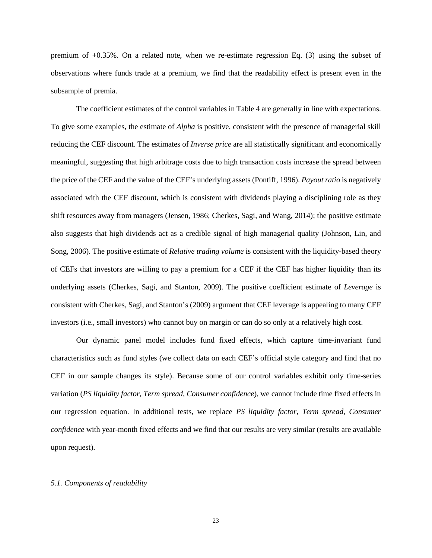premium of +0.35%. On a related note, when we re-estimate regression Eq. (3) using the subset of observations where funds trade at a premium, we find that the readability effect is present even in the subsample of premia.

The coefficient estimates of the control variables in Table 4 are generally in line with expectations. To give some examples, the estimate of *Alpha* is positive, consistent with the presence of managerial skill reducing the CEF discount. The estimates of *Inverse price* are all statistically significant and economically meaningful, suggesting that high arbitrage costs due to high transaction costs increase the spread between the price of the CEF and the value of the CEF's underlying assets (Pontiff, 1996). *Payout ratio* is negatively associated with the CEF discount, which is consistent with dividends playing a disciplining role as they shift resources away from managers (Jensen, 1986; Cherkes, Sagi, and Wang, 2014); the positive estimate also suggests that high dividends act as a credible signal of high managerial quality (Johnson, Lin, and Song, 2006). The positive estimate of *Relative trading volume* is consistent with the liquidity-based theory of CEFs that investors are willing to pay a premium for a CEF if the CEF has higher liquidity than its underlying assets (Cherkes, Sagi, and Stanton, 2009). The positive coefficient estimate of *Leverage* is consistent with Cherkes, Sagi, and Stanton's (2009) argument that CEF leverage is appealing to many CEF investors (i.e., small investors) who cannot buy on margin or can do so only at a relatively high cost.

Our dynamic panel model includes fund fixed effects, which capture time-invariant fund characteristics such as fund styles (we collect data on each CEF's official style category and find that no CEF in our sample changes its style). Because some of our control variables exhibit only time-series variation (*PS liquidity factor*, *Term spread*, *Consumer confidence*), we cannot include time fixed effects in our regression equation. In additional tests, we replace *PS liquidity factor*, *Term spread*, *Consumer confidence* with year-month fixed effects and we find that our results are very similar (results are available upon request).

#### *5.1. Components of readability*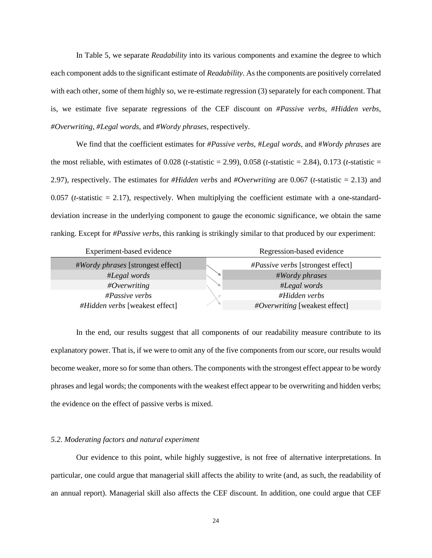In Table 5, we separate *Readability* into its various components and examine the degree to which each component adds to the significant estimate of *Readability*. As the components are positively correlated with each other, some of them highly so, we re-estimate regression (3) separately for each component. That is, we estimate five separate regressions of the CEF discount on *#Passive verbs*, *#Hidden verbs*, *#Overwriting*, *#Legal words*, and *#Wordy phrases*, respectively.

We find that the coefficient estimates for *#Passive verbs*, #*Legal words*, and #*Wordy phrases* are the most reliable, with estimates of  $0.028$  (*t*-statistic = 2.99),  $0.058$  (*t*-statistic = 2.84),  $0.173$  (*t*-statistic = 2.97), respectively. The estimates for *#Hidden verbs* and *#Overwriting* are 0.067 (*t*-statistic = 2.13) and  $0.057$  (*t*-statistic = 2.17), respectively. When multiplying the coefficient estimate with a one-standarddeviation increase in the underlying component to gauge the economic significance, we obtain the same ranking. Except for *#Passive verbs*, this ranking is strikingly similar to that produced by our experiment:

| Experiment-based evidence         | Regression-based evidence             |
|-----------------------------------|---------------------------------------|
| #Wordy phrases [strongest effect] | $\#Passive\ verbs$ [strongest effect] |
| #Legal words                      | #Wordy phrases                        |
| $\#Overwriting$                   | #Legal words                          |
| $\#Passive$ verbs                 | $#Hidden$ verbs                       |
| #Hidden verbs [weakest effect]    | $\#Overwriting$ [weakest effect]      |

In the end, our results suggest that all components of our readability measure contribute to its explanatory power. That is, if we were to omit any of the five components from our score, our results would become weaker, more so for some than others. The components with the strongest effect appear to be wordy phrases and legal words; the components with the weakest effect appear to be overwriting and hidden verbs; the evidence on the effect of passive verbs is mixed.

## *5.2. Moderating factors and natural experiment*

Our evidence to this point, while highly suggestive, is not free of alternative interpretations. In particular, one could argue that managerial skill affects the ability to write (and, as such, the readability of an annual report). Managerial skill also affects the CEF discount. In addition, one could argue that CEF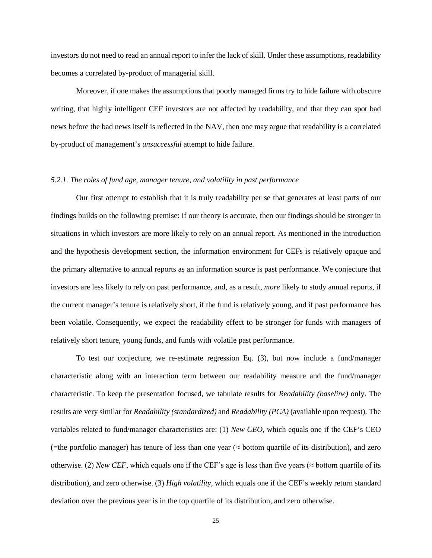investors do not need to read an annual report to infer the lack of skill. Under these assumptions, readability becomes a correlated by-product of managerial skill.

Moreover, if one makes the assumptions that poorly managed firms try to hide failure with obscure writing, that highly intelligent CEF investors are not affected by readability, and that they can spot bad news before the bad news itself is reflected in the NAV, then one may argue that readability is a correlated by-product of management's *unsuccessful* attempt to hide failure.

## *5.2.1. The roles of fund age, manager tenure, and volatility in past performance*

Our first attempt to establish that it is truly readability per se that generates at least parts of our findings builds on the following premise: if our theory is accurate, then our findings should be stronger in situations in which investors are more likely to rely on an annual report. As mentioned in the introduction and the hypothesis development section, the information environment for CEFs is relatively opaque and the primary alternative to annual reports as an information source is past performance. We conjecture that investors are less likely to rely on past performance, and, as a result, *more* likely to study annual reports, if the current manager's tenure is relatively short, if the fund is relatively young, and if past performance has been volatile. Consequently, we expect the readability effect to be stronger for funds with managers of relatively short tenure, young funds, and funds with volatile past performance.

To test our conjecture, we re-estimate regression Eq. (3), but now include a fund/manager characteristic along with an interaction term between our readability measure and the fund/manager characteristic. To keep the presentation focused, we tabulate results for *Readability (baseline)* only. The results are very similar for *Readability (standardized)* and *Readability (PCA)* (available upon request). The variables related to fund/manager characteristics are: (1) *New CEO*, which equals one if the CEF's CEO (=the portfolio manager) has tenure of less than one year ( $\approx$  bottom quartile of its distribution), and zero otherwise. (2) *New CEF*, which equals one if the CEF's age is less than five years ( $\approx$  bottom quartile of its distribution), and zero otherwise. (3) *High volatility*, which equals one if the CEF's weekly return standard deviation over the previous year is in the top quartile of its distribution, and zero otherwise.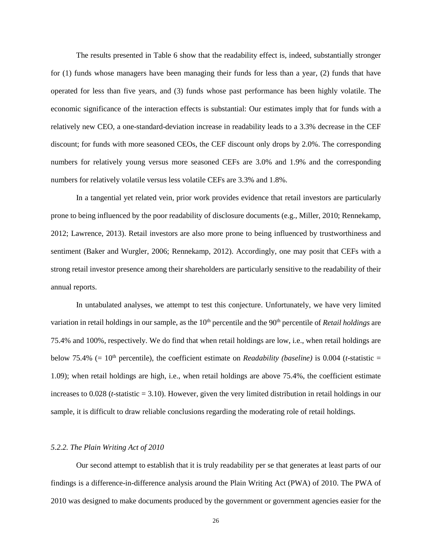The results presented in Table 6 show that the readability effect is, indeed, substantially stronger for (1) funds whose managers have been managing their funds for less than a year, (2) funds that have operated for less than five years, and (3) funds whose past performance has been highly volatile. The economic significance of the interaction effects is substantial: Our estimates imply that for funds with a relatively new CEO, a one-standard-deviation increase in readability leads to a 3.3% decrease in the CEF discount; for funds with more seasoned CEOs, the CEF discount only drops by 2.0%. The corresponding numbers for relatively young versus more seasoned CEFs are 3.0% and 1.9% and the corresponding numbers for relatively volatile versus less volatile CEFs are 3.3% and 1.8%.

In a tangential yet related vein, prior work provides evidence that retail investors are particularly prone to being influenced by the poor readability of disclosure documents (e.g., Miller, 2010; Rennekamp, 2012; Lawrence, 2013). Retail investors are also more prone to being influenced by trustworthiness and sentiment (Baker and Wurgler, 2006; Rennekamp, 2012). Accordingly, one may posit that CEFs with a strong retail investor presence among their shareholders are particularly sensitive to the readability of their annual reports.

In untabulated analyses, we attempt to test this conjecture. Unfortunately, we have very limited variation in retail holdings in our sample, as the 10<sup>th</sup> percentile and the 90<sup>th</sup> percentile of *Retail holdings* are 75.4% and 100%, respectively. We do find that when retail holdings are low, i.e., when retail holdings are below 75.4% (=  $10<sup>th</sup>$  percentile), the coefficient estimate on *Readability (baseline)* is 0.004 (*t*-statistic = 1.09); when retail holdings are high, i.e., when retail holdings are above 75.4%, the coefficient estimate increases to 0.028 (*t*-statistic = 3.10). However, given the very limited distribution in retail holdings in our sample, it is difficult to draw reliable conclusions regarding the moderating role of retail holdings.

#### *5.2.2. The Plain Writing Act of 2010*

Our second attempt to establish that it is truly readability per se that generates at least parts of our findings is a difference-in-difference analysis around the Plain Writing Act (PWA) of 2010. The PWA of 2010 was designed to make documents produced by the government or government agencies easier for the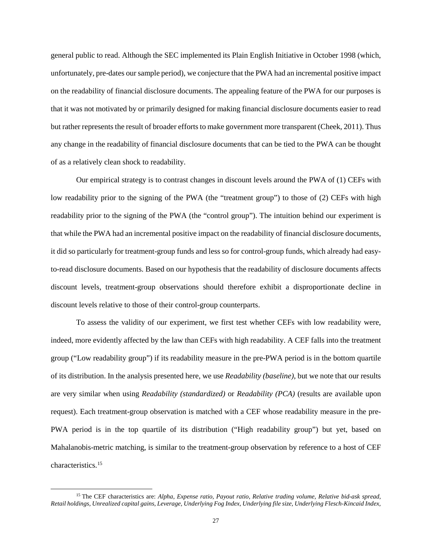general public to read. Although the SEC implemented its Plain English Initiative in October 1998 (which, unfortunately, pre-dates our sample period), we conjecture that the PWA had an incremental positive impact on the readability of financial disclosure documents. The appealing feature of the PWA for our purposes is that it was not motivated by or primarily designed for making financial disclosure documents easier to read but rather represents the result of broader efforts to make government more transparent (Cheek, 2011). Thus any change in the readability of financial disclosure documents that can be tied to the PWA can be thought of as a relatively clean shock to readability.

Our empirical strategy is to contrast changes in discount levels around the PWA of (1) CEFs with low readability prior to the signing of the PWA (the "treatment group") to those of (2) CEFs with high readability prior to the signing of the PWA (the "control group"). The intuition behind our experiment is that while the PWA had an incremental positive impact on the readability of financial disclosure documents, it did so particularly for treatment-group funds and less so for control-group funds, which already had easyto-read disclosure documents. Based on our hypothesis that the readability of disclosure documents affects discount levels, treatment-group observations should therefore exhibit a disproportionate decline in discount levels relative to those of their control-group counterparts.

To assess the validity of our experiment, we first test whether CEFs with low readability were, indeed, more evidently affected by the law than CEFs with high readability. A CEF falls into the treatment group ("Low readability group") if its readability measure in the pre-PWA period is in the bottom quartile of its distribution. In the analysis presented here, we use *Readability (baseline)*, but we note that our results are very similar when using *Readability (standardized)* or *Readability (PCA)* (results are available upon request). Each treatment-group observation is matched with a CEF whose readability measure in the pre-PWA period is in the top quartile of its distribution ("High readability group") but yet, based on Mahalanobis-metric matching, is similar to the treatment-group observation by reference to a host of CEF characteristics.15

 $\overline{a}$ 

<sup>15</sup> The CEF characteristics are: *Alpha, Expense ratio, Payout ratio, Relative trading volume, Relative bid-ask spread, Retail holdings, Unrealized capital gains, Leverage, Underlying Fog Index, Underlying file size, Underlying Flesch-Kincaid Index,*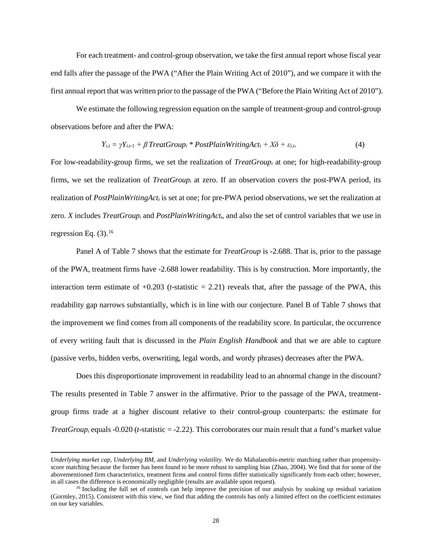For each treatment- and control-group observation, we take the first annual report whose fiscal year end falls after the passage of the PWA ("After the Plain Writing Act of 2010"), and we compare it with the first annual report that was written prior to the passage of the PWA ("Before the Plain Writing Act of 2010").

We estimate the following regression equation on the sample of treatment-group and control-group observations before and after the PWA:

$$
Y_{i,t} = \gamma Y_{i,t-1} + \beta \text{TreatGroup}_i * \text{PostPlainWriting} Act_t + X\delta + \varepsilon_{i,t}. \tag{4}
$$

For low-readability-group firms, we set the realization of *TreatGroupi* at one; for high-readability-group firms, we set the realization of *TreatGroupi* at zero. If an observation covers the post-PWA period, its realization of *PostPlainWritingAct<sub>t</sub>* is set at one; for pre-PWA period observations, we set the realization at zero. *X* includes *TreatGroupi* and *PostPlainWritingActt*, and also the set of control variables that we use in regression Eq.  $(3)$ .<sup>16</sup>

Panel A of Table 7 shows that the estimate for *TreatGroup* is -2.688. That is, prior to the passage of the PWA, treatment firms have -2.688 lower readability. This is by construction. More importantly, the interaction term estimate of  $+0.203$  (*t*-statistic = 2.21) reveals that, after the passage of the PWA, this readability gap narrows substantially, which is in line with our conjecture. Panel B of Table 7 shows that the improvement we find comes from all components of the readability score. In particular, the occurrence of every writing fault that is discussed in the *Plain English Handbook* and that we are able to capture (passive verbs, hidden verbs, overwriting, legal words, and wordy phrases) decreases after the PWA.

Does this disproportionate improvement in readability lead to an abnormal change in the discount? The results presented in Table 7 answer in the affirmative. Prior to the passage of the PWA, treatmentgroup firms trade at a higher discount relative to their control-group counterparts: the estimate for *TreatGroup<sub>i</sub>* equals -0.020 (*t*-statistic = -2.22). This corroborates our main result that a fund's market value

 $\overline{\phantom{a}}$ 

*Underlying market cap, Underlying BM,* and *Underlying volatility.* We do Mahalanobis-metric matching rather than propensityscore matching because the former has been found to be more robust to sampling bias (Zhao, 2004). We find that for some of the abovementioned firm characteristics, treatment firms and control firms differ statistically significantly from each other; however, in all cases the difference is economically negligible (results are available upon request).

<sup>&</sup>lt;sup>16</sup> Including the full set of controls can help improve the precision of our analysis by soaking up residual variation (Gormley, 2015). Consistent with this view, we find that adding the controls has only a limited effect on the coefficient estimates on our key variables.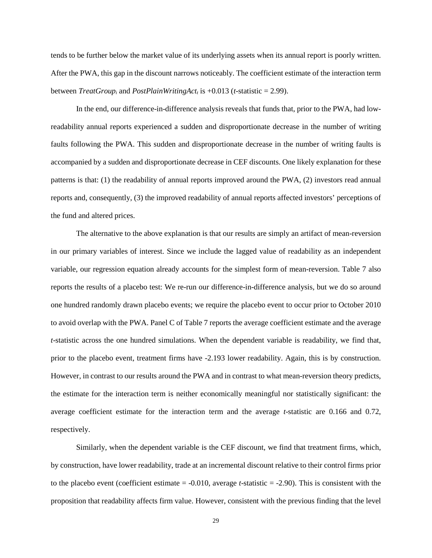tends to be further below the market value of its underlying assets when its annual report is poorly written. After the PWA, this gap in the discount narrows noticeably. The coefficient estimate of the interaction term between *TreatGroup<sub>i</sub>* and *PostPlainWritingAct<sub>t</sub>* is +0.013 (*t*-statistic = 2.99).

In the end, our difference-in-difference analysis reveals that funds that, prior to the PWA, had lowreadability annual reports experienced a sudden and disproportionate decrease in the number of writing faults following the PWA. This sudden and disproportionate decrease in the number of writing faults is accompanied by a sudden and disproportionate decrease in CEF discounts. One likely explanation for these patterns is that: (1) the readability of annual reports improved around the PWA, (2) investors read annual reports and, consequently, (3) the improved readability of annual reports affected investors' perceptions of the fund and altered prices.

The alternative to the above explanation is that our results are simply an artifact of mean-reversion in our primary variables of interest. Since we include the lagged value of readability as an independent variable, our regression equation already accounts for the simplest form of mean-reversion. Table 7 also reports the results of a placebo test: We re-run our difference-in-difference analysis, but we do so around one hundred randomly drawn placebo events; we require the placebo event to occur prior to October 2010 to avoid overlap with the PWA. Panel C of Table 7 reports the average coefficient estimate and the average *t*-statistic across the one hundred simulations. When the dependent variable is readability, we find that, prior to the placebo event, treatment firms have -2.193 lower readability. Again, this is by construction. However, in contrast to our results around the PWA and in contrast to what mean-reversion theory predicts, the estimate for the interaction term is neither economically meaningful nor statistically significant: the average coefficient estimate for the interaction term and the average *t*-statistic are 0.166 and 0.72, respectively.

Similarly, when the dependent variable is the CEF discount, we find that treatment firms, which, by construction, have lower readability, trade at an incremental discount relative to their control firms prior to the placebo event (coefficient estimate  $= -0.010$ , average *t*-statistic  $= -2.90$ ). This is consistent with the proposition that readability affects firm value. However, consistent with the previous finding that the level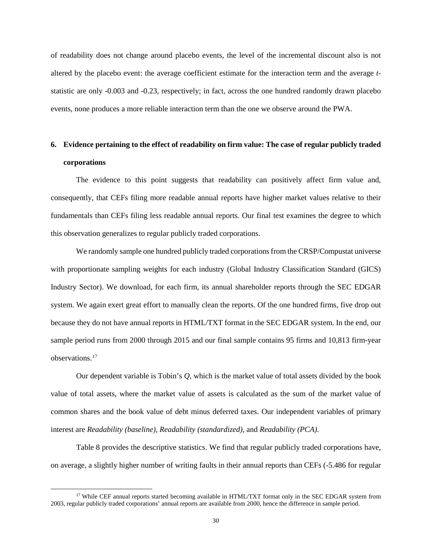of readability does not change around placebo events, the level of the incremental discount also is not altered by the placebo event: the average coefficient estimate for the interaction term and the average *t*statistic are only -0.003 and -0.23, respectively; in fact, across the one hundred randomly drawn placebo events, none produces a more reliable interaction term than the one we observe around the PWA.

# **6. Evidence pertaining to the effect of readability on firm value: The case of regular publicly traded corporations**

The evidence to this point suggests that readability can positively affect firm value and, consequently, that CEFs filing more readable annual reports have higher market values relative to their fundamentals than CEFs filing less readable annual reports. Our final test examines the degree to which this observation generalizes to regular publicly traded corporations.

We randomly sample one hundred publicly traded corporations from the CRSP/Compustat universe with proportionate sampling weights for each industry (Global Industry Classification Standard (GICS) Industry Sector). We download, for each firm, its annual shareholder reports through the SEC EDGAR system. We again exert great effort to manually clean the reports. Of the one hundred firms, five drop out because they do not have annual reports in HTML/TXT format in the SEC EDGAR system. In the end, our sample period runs from 2000 through 2015 and our final sample contains 95 firms and 10,813 firm-year observations.17

Our dependent variable is Tobin's *Q*, which is the market value of total assets divided by the book value of total assets, where the market value of assets is calculated as the sum of the market value of common shares and the book value of debt minus deferred taxes. Our independent variables of primary interest are *Readability (baseline)*, *Readability (standardized)*, and *Readability (PCA)*.

Table 8 provides the descriptive statistics. We find that regular publicly traded corporations have, on average, a slightly higher number of writing faults in their annual reports than CEFs (-5.486 for regular

 $\overline{a}$ 

<sup>&</sup>lt;sup>17</sup> While CEF annual reports started becoming available in HTML/TXT format only in the SEC EDGAR system from 2003, regular publicly traded corporations' annual reports are available from 2000, hence the difference in sample period.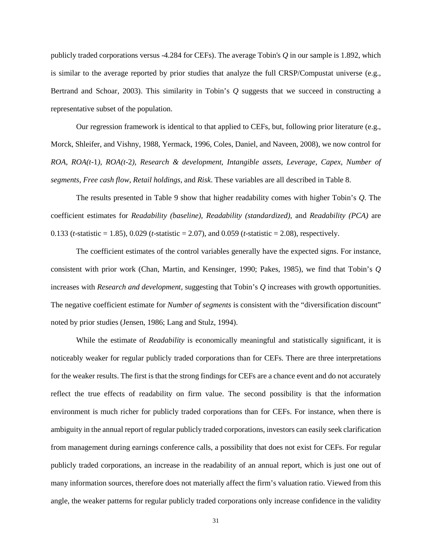publicly traded corporations versus -4.284 for CEFs). The average Tobin's *Q* in our sample is 1.892, which is similar to the average reported by prior studies that analyze the full CRSP/Compustat universe (e.g., Bertrand and Schoar, 2003). This similarity in Tobin's *Q* suggests that we succeed in constructing a representative subset of the population.

Our regression framework is identical to that applied to CEFs, but, following prior literature (e.g., Morck, Shleifer, and Vishny, 1988, Yermack, 1996, Coles, Daniel, and Naveen, 2008), we now control for *ROA*, *ROA(t*-1*)*, *ROA(t*-2*)*, *Research & development*, *Intangible assets*, *Leverage*, *Capex*, *Number of segments*, *Free cash flow*, *Retail holdings*, and *Risk*. These variables are all described in Table 8.

The results presented in Table 9 show that higher readability comes with higher Tobin's *Q*. The coefficient estimates for *Readability (baseline)*, *Readability (standardized)*, and *Readability (PCA)* are 0.133 (*t*-statistic = 1.85), 0.029 (*t*-statistic = 2.07), and 0.059 (*t*-statistic = 2.08), respectively.

The coefficient estimates of the control variables generally have the expected signs. For instance, consistent with prior work (Chan, Martin, and Kensinger, 1990; Pakes, 1985), we find that Tobin's *Q* increases with *Research and development*, suggesting that Tobin's *Q* increases with growth opportunities. The negative coefficient estimate for *Number of segments* is consistent with the "diversification discount" noted by prior studies (Jensen, 1986; Lang and Stulz, 1994).

While the estimate of *Readability* is economically meaningful and statistically significant, it is noticeably weaker for regular publicly traded corporations than for CEFs. There are three interpretations for the weaker results. The first is that the strong findings for CEFs are a chance event and do not accurately reflect the true effects of readability on firm value. The second possibility is that the information environment is much richer for publicly traded corporations than for CEFs. For instance, when there is ambiguity in the annual report of regular publicly traded corporations, investors can easily seek clarification from management during earnings conference calls, a possibility that does not exist for CEFs. For regular publicly traded corporations, an increase in the readability of an annual report, which is just one out of many information sources, therefore does not materially affect the firm's valuation ratio. Viewed from this angle, the weaker patterns for regular publicly traded corporations only increase confidence in the validity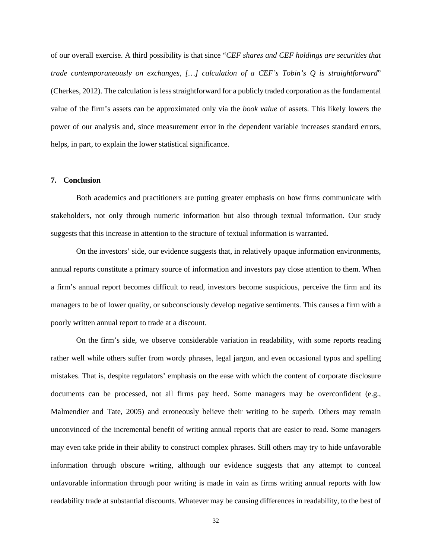of our overall exercise. A third possibility is that since "*CEF shares and CEF holdings are securities that trade contemporaneously on exchanges, […] calculation of a CEF's Tobin's Q is straightforward*" (Cherkes, 2012). The calculation is less straightforward for a publicly traded corporation as the fundamental value of the firm's assets can be approximated only via the *book value* of assets. This likely lowers the power of our analysis and, since measurement error in the dependent variable increases standard errors, helps, in part, to explain the lower statistical significance.

#### **7. Conclusion**

Both academics and practitioners are putting greater emphasis on how firms communicate with stakeholders, not only through numeric information but also through textual information. Our study suggests that this increase in attention to the structure of textual information is warranted.

On the investors' side, our evidence suggests that, in relatively opaque information environments, annual reports constitute a primary source of information and investors pay close attention to them. When a firm's annual report becomes difficult to read, investors become suspicious, perceive the firm and its managers to be of lower quality, or subconsciously develop negative sentiments. This causes a firm with a poorly written annual report to trade at a discount.

On the firm's side, we observe considerable variation in readability, with some reports reading rather well while others suffer from wordy phrases, legal jargon, and even occasional typos and spelling mistakes. That is, despite regulators' emphasis on the ease with which the content of corporate disclosure documents can be processed, not all firms pay heed. Some managers may be overconfident (e.g., Malmendier and Tate, 2005) and erroneously believe their writing to be superb. Others may remain unconvinced of the incremental benefit of writing annual reports that are easier to read. Some managers may even take pride in their ability to construct complex phrases. Still others may try to hide unfavorable information through obscure writing, although our evidence suggests that any attempt to conceal unfavorable information through poor writing is made in vain as firms writing annual reports with low readability trade at substantial discounts. Whatever may be causing differences in readability, to the best of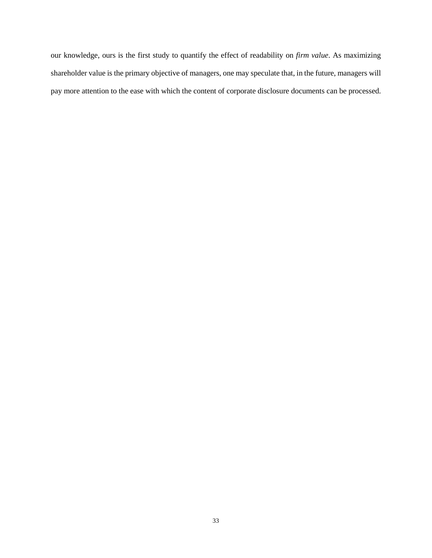our knowledge, ours is the first study to quantify the effect of readability on *firm value*. As maximizing shareholder value is the primary objective of managers, one may speculate that, in the future, managers will pay more attention to the ease with which the content of corporate disclosure documents can be processed.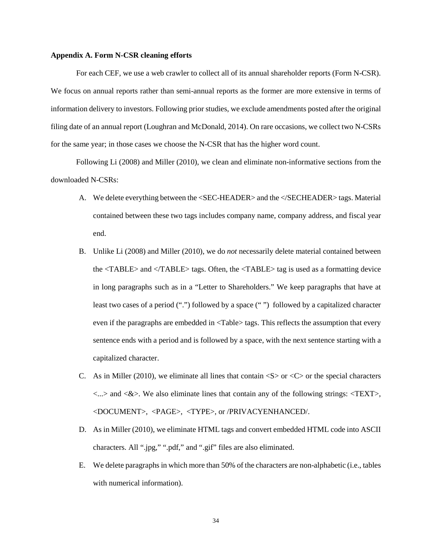#### **Appendix A. Form N-CSR cleaning efforts**

For each CEF, we use a web crawler to collect all of its annual shareholder reports (Form N-CSR). We focus on annual reports rather than semi-annual reports as the former are more extensive in terms of information delivery to investors. Following prior studies, we exclude amendments posted after the original filing date of an annual report (Loughran and McDonald, 2014). On rare occasions, we collect two N-CSRs for the same year; in those cases we choose the N-CSR that has the higher word count.

Following Li (2008) and Miller (2010), we clean and eliminate non-informative sections from the downloaded N-CSRs:

- A. We delete everything between the <SEC-HEADER> and the </SECHEADER> tags. Material contained between these two tags includes company name, company address, and fiscal year end.
- B. Unlike Li (2008) and Miller (2010), we do *not* necessarily delete material contained between the  $\langle \text{TABLE} \rangle$  and  $\langle \text{TABLE} \rangle$  tags. Often, the  $\langle \text{TABLE} \rangle$  tag is used as a formatting device in long paragraphs such as in a "Letter to Shareholders." We keep paragraphs that have at least two cases of a period (".") followed by a space (" ") followed by a capitalized character even if the paragraphs are embedded in <Table> tags. This reflects the assumption that every sentence ends with a period and is followed by a space, with the next sentence starting with a capitalized character.
- C. As in Miller (2010), we eliminate all lines that contain  $\langle S \rangle$  or  $\langle C \rangle$  or the special characters  $\langle \dots \rangle$  and  $\langle \& \rangle$ . We also eliminate lines that contain any of the following strings:  $\langle \text{TEXT} \rangle$ , <DOCUMENT>, <PAGE>, <TYPE>, or /PRIVACYENHANCED/.
- D. As in Miller (2010), we eliminate HTML tags and convert embedded HTML code into ASCII characters. All ".jpg," ".pdf," and ".gif" files are also eliminated.
- E. We delete paragraphs in which more than 50% of the characters are non-alphabetic (i.e., tables with numerical information).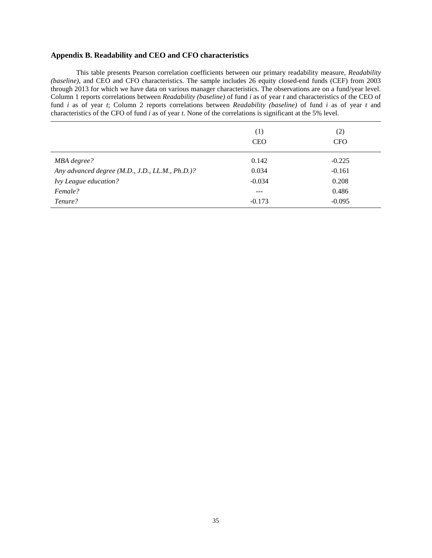## **Appendix B. Readability and CEO and CFO characteristics**

This table presents Pearson correlation coefficients between our primary readability measure, *Readability (baseline)*, and CEO and CFO characteristics. The sample includes 26 equity closed-end funds (CEF) from 2003 through 2013 for which we have data on various manager characteristics. The observations are on a fund/year level. Column 1 reports correlations between *Readability (baseline)* of fund *i* as of year *t* and characteristics of the CEO of fund *i* as of year *t*; Column 2 reports correlations between *Readability (baseline)* of fund *i* as of year *t* and characteristics of the CFO of fund *i* as of year *t*. None of the correlations is significant at the 5% level.

|                                                 | (1)<br><b>CEO</b> | (2)<br><b>CFO</b> |
|-------------------------------------------------|-------------------|-------------------|
| MBA degree?                                     | 0.142             | $-0.225$          |
| Any advanced degree (M.D., J.D., LL.M., Ph.D.)? | 0.034             | $-0.161$          |
| Ivy League education?                           | $-0.034$          | 0.208             |
| Female?                                         | ---               | 0.486             |
| Tenure?                                         | $-0.173$          | $-0.095$          |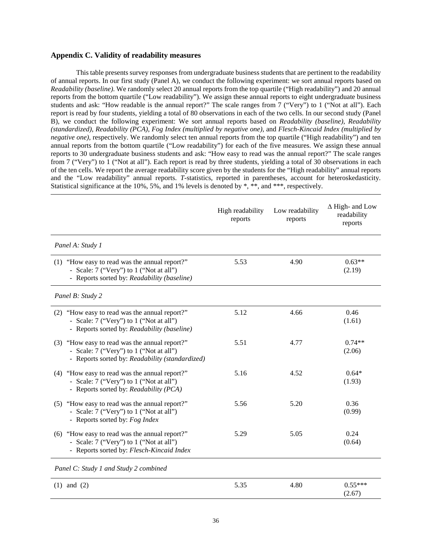#### **Appendix C. Validity of readability measures**

This table presents survey responses from undergraduate business students that are pertinent to the readability of annual reports. In our first study (Panel A), we conduct the following experiment: we sort annual reports based on *Readability (baseline)*. We randomly select 20 annual reports from the top quartile ("High readability") and 20 annual reports from the bottom quartile ("Low readability"). We assign these annual reports to eight undergraduate business students and ask: "How readable is the annual report?" The scale ranges from 7 ("Very") to 1 ("Not at all"). Each report is read by four students, yielding a total of 80 observations in each of the two cells. In our second study (Panel B), we conduct the following experiment: We sort annual reports based on *Readability (baseline)*, *Readability (standardized)*, *Readability (PCA)*, *Fog Index (multiplied by negative one)*, and *Flesch-Kincaid Index (multiplied by negative one*), respectively. We randomly select ten annual reports from the top quartile ("High readability") and ten annual reports from the bottom quartile ("Low readability") for each of the five measures. We assign these annual reports to 30 undergraduate business students and ask: "How easy to read was the annual report?" The scale ranges from 7 ("Very") to 1 ("Not at all"). Each report is read by three students, yielding a total of 30 observations in each of the ten cells. We report the average readability score given by the students for the "High readability" annual reports and the "Low readability" annual reports. *T*-statistics, reported in parentheses, account for heteroskedasticity. Statistical significance at the 10%, 5%, and 1% levels is denoted by \*, \*\*, and \*\*\*, respectively.

|                                                                                                                                             | High readability<br>reports | Low readability<br>reports | $\Delta$ High- and Low<br>readability<br>reports |
|---------------------------------------------------------------------------------------------------------------------------------------------|-----------------------------|----------------------------|--------------------------------------------------|
| Panel A: Study 1                                                                                                                            |                             |                            |                                                  |
| (1) "How easy to read was the annual report?"<br>- Scale: 7 ("Very") to 1 ("Not at all")<br>- Reports sorted by: Readability (baseline)     | 5.53                        | 4.90                       | $0.63**$<br>(2.19)                               |
| Panel B: Study 2                                                                                                                            |                             |                            |                                                  |
| (2) "How easy to read was the annual report?"<br>- Scale: 7 ("Very") to 1 ("Not at all")<br>- Reports sorted by: Readability (baseline)     | 5.12                        | 4.66                       | 0.46<br>(1.61)                                   |
| (3) "How easy to read was the annual report?"<br>- Scale: 7 ("Very") to 1 ("Not at all")<br>- Reports sorted by: Readability (standardized) | 5.51                        | 4.77                       | $0.74**$<br>(2.06)                               |
| (4) "How easy to read was the annual report?"<br>- Scale: 7 ("Very") to 1 ("Not at all")<br>- Reports sorted by: Readability (PCA)          | 5.16                        | 4.52                       | $0.64*$<br>(1.93)                                |
| (5) "How easy to read was the annual report?"<br>- Scale: 7 ("Very") to 1 ("Not at all")<br>- Reports sorted by: Fog Index                  | 5.56                        | 5.20                       | 0.36<br>(0.99)                                   |
| (6) "How easy to read was the annual report?"<br>- Scale: 7 ("Very") to 1 ("Not at all")<br>- Reports sorted by: Flesch-Kincaid Index       | 5.29                        | 5.05                       | 0.24<br>(0.64)                                   |
| Panel C: Study 1 and Study 2 combined                                                                                                       |                             |                            |                                                  |
| $(1)$ and $(2)$                                                                                                                             | 5.35                        | 4.80                       | $0.55***$<br>(2.67)                              |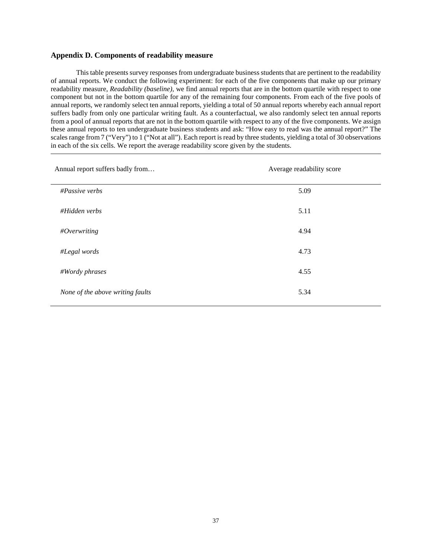#### **Appendix D. Components of readability measure**

This table presents survey responses from undergraduate business students that are pertinent to the readability of annual reports. We conduct the following experiment: for each of the five components that make up our primary readability measure, *Readability (baseline)*, we find annual reports that are in the bottom quartile with respect to one component but not in the bottom quartile for any of the remaining four components. From each of the five pools of annual reports, we randomly select ten annual reports, yielding a total of 50 annual reports whereby each annual report suffers badly from only one particular writing fault. As a counterfactual, we also randomly select ten annual reports from a pool of annual reports that are not in the bottom quartile with respect to any of the five components. We assign these annual reports to ten undergraduate business students and ask: "How easy to read was the annual report?" The scales range from 7 ("Very") to 1 ("Not at all"). Each report is read by three students, yielding a total of 30 observations in each of the six cells. We report the average readability score given by the students.

| Annual report suffers badly from | Average readability score |
|----------------------------------|---------------------------|
| #Passive verbs                   | 5.09                      |
| $#Hidden$ verbs                  | 5.11                      |
| #Overwriting                     | 4.94                      |
| #Legal words                     | 4.73                      |
| #Wordy phrases                   | 4.55                      |
| None of the above writing faults | 5.34                      |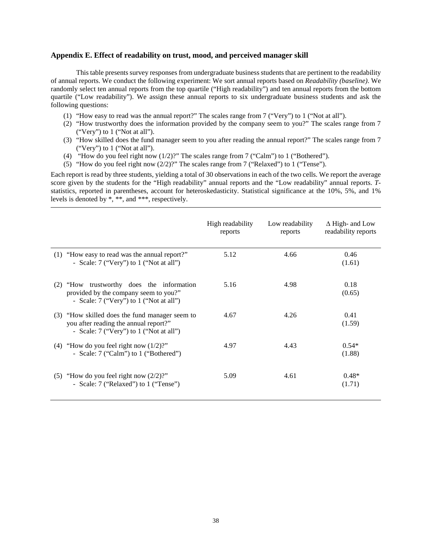#### **Appendix E. Effect of readability on trust, mood, and perceived manager skill**

This table presents survey responses from undergraduate business students that are pertinent to the readability of annual reports. We conduct the following experiment: We sort annual reports based on *Readability (baseline)*. We randomly select ten annual reports from the top quartile ("High readability") and ten annual reports from the bottom quartile ("Low readability"). We assign these annual reports to six undergraduate business students and ask the following questions:

- (1) "How easy to read was the annual report?" The scales range from 7 ("Very") to 1 ("Not at all").
- (2) "How trustworthy does the information provided by the company seem to you?" The scales range from 7 ("Very") to 1 ("Not at all").
- (3) "How skilled does the fund manager seem to you after reading the annual report?" The scales range from 7 ("Very") to 1 ("Not at all").
- (4) "How do you feel right now (1/2)?" The scales range from 7 ("Calm") to 1 ("Bothered").
- (5) "How do you feel right now (2/2)?" The scales range from 7 ("Relaxed") to 1 ("Tense").

Each report is read by three students, yielding a total of 30 observations in each of the two cells. We report the average score given by the students for the "High readability" annual reports and the "Low readability" annual reports. *T*statistics, reported in parentheses, account for heteroskedasticity. Statistical significance at the 10%, 5%, and 1% levels is denoted by \*, \*\*, and \*\*\*, respectively.

|                                                                                                                                        | High readability<br>reports | Low readability<br>reports | $\Delta$ High- and Low<br>readability reports |
|----------------------------------------------------------------------------------------------------------------------------------------|-----------------------------|----------------------------|-----------------------------------------------|
| (1) "How easy to read was the annual report?"<br>- Scale: 7 ("Very") to 1 ("Not at all")                                               | 5.12                        | 4.66                       | 0.46<br>(1.61)                                |
| "How trustworthy does the information"<br>(2)<br>provided by the company seem to you?"<br>- Scale: $7$ ("Very") to $1$ ("Not at all")  | 5.16                        | 4.98                       | 0.18<br>(0.65)                                |
| (3) "How skilled does the fund manager seem to<br>you after reading the annual report?"<br>- Scale: $7$ ("Very") to $1$ ("Not at all") | 4.67                        | 4.26                       | 0.41<br>(1.59)                                |
| "How do you feel right now $(1/2)$ ?"<br>(4)<br>- Scale: 7 ("Calm") to 1 ("Bothered")                                                  | 4.97                        | 4.43                       | $0.54*$<br>(1.88)                             |
| "How do you feel right now $(2/2)$ ?"<br>(5)<br>- Scale: 7 ("Relaxed") to 1 ("Tense")                                                  | 5.09                        | 4.61                       | $0.48*$<br>(1.71)                             |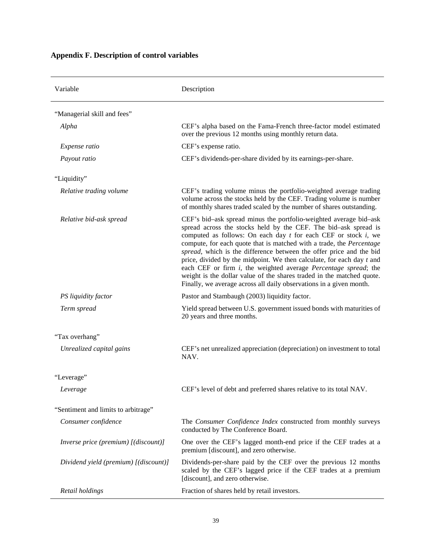| <b>Appendix F. Description of control variables</b> |
|-----------------------------------------------------|
|-----------------------------------------------------|

| Variable                              | Description                                                                                                                                                                                                                                                                                                                                                                                                                                                                                                                                                                                                                                              |
|---------------------------------------|----------------------------------------------------------------------------------------------------------------------------------------------------------------------------------------------------------------------------------------------------------------------------------------------------------------------------------------------------------------------------------------------------------------------------------------------------------------------------------------------------------------------------------------------------------------------------------------------------------------------------------------------------------|
| "Managerial skill and fees"           |                                                                                                                                                                                                                                                                                                                                                                                                                                                                                                                                                                                                                                                          |
| Alpha                                 | CEF's alpha based on the Fama-French three-factor model estimated<br>over the previous 12 months using monthly return data.                                                                                                                                                                                                                                                                                                                                                                                                                                                                                                                              |
| <i>Expense ratio</i>                  | CEF's expense ratio.                                                                                                                                                                                                                                                                                                                                                                                                                                                                                                                                                                                                                                     |
| Payout ratio                          | CEF's dividends-per-share divided by its earnings-per-share.                                                                                                                                                                                                                                                                                                                                                                                                                                                                                                                                                                                             |
| "Liquidity"                           |                                                                                                                                                                                                                                                                                                                                                                                                                                                                                                                                                                                                                                                          |
| Relative trading volume               | CEF's trading volume minus the portfolio-weighted average trading<br>volume across the stocks held by the CEF. Trading volume is number<br>of monthly shares traded scaled by the number of shares outstanding.                                                                                                                                                                                                                                                                                                                                                                                                                                          |
| Relative bid-ask spread               | CEF's bid-ask spread minus the portfolio-weighted average bid-ask<br>spread across the stocks held by the CEF. The bid-ask spread is<br>computed as follows: On each day $t$ for each CEF or stock $i$ , we<br>compute, for each quote that is matched with a trade, the Percentage<br>spread, which is the difference between the offer price and the bid<br>price, divided by the midpoint. We then calculate, for each day $t$ and<br>each CEF or firm i, the weighted average Percentage spread; the<br>weight is the dollar value of the shares traded in the matched quote.<br>Finally, we average across all daily observations in a given month. |
| PS liquidity factor                   | Pastor and Stambaugh (2003) liquidity factor.                                                                                                                                                                                                                                                                                                                                                                                                                                                                                                                                                                                                            |
| Term spread                           | Yield spread between U.S. government issued bonds with maturities of<br>20 years and three months.                                                                                                                                                                                                                                                                                                                                                                                                                                                                                                                                                       |
| "Tax overhang"                        |                                                                                                                                                                                                                                                                                                                                                                                                                                                                                                                                                                                                                                                          |
| Unrealized capital gains              | CEF's net unrealized appreciation (depreciation) on investment to total<br>NAV.                                                                                                                                                                                                                                                                                                                                                                                                                                                                                                                                                                          |
| "Leverage"                            |                                                                                                                                                                                                                                                                                                                                                                                                                                                                                                                                                                                                                                                          |
| Leverage                              | CEF's level of debt and preferred shares relative to its total NAV.                                                                                                                                                                                                                                                                                                                                                                                                                                                                                                                                                                                      |
| "Sentiment and limits to arbitrage"   |                                                                                                                                                                                                                                                                                                                                                                                                                                                                                                                                                                                                                                                          |
| Consumer confidence                   | The Consumer Confidence Index constructed from monthly surveys<br>conducted by The Conference Board.                                                                                                                                                                                                                                                                                                                                                                                                                                                                                                                                                     |
| Inverse price (premium) [(discount)]  | One over the CEF's lagged month-end price if the CEF trades at a<br>premium [discount], and zero otherwise.                                                                                                                                                                                                                                                                                                                                                                                                                                                                                                                                              |
| Dividend yield (premium) [(discount)] | Dividends-per-share paid by the CEF over the previous 12 months<br>scaled by the CEF's lagged price if the CEF trades at a premium<br>[discount], and zero otherwise.                                                                                                                                                                                                                                                                                                                                                                                                                                                                                    |
| Retail holdings                       | Fraction of shares held by retail investors.                                                                                                                                                                                                                                                                                                                                                                                                                                                                                                                                                                                                             |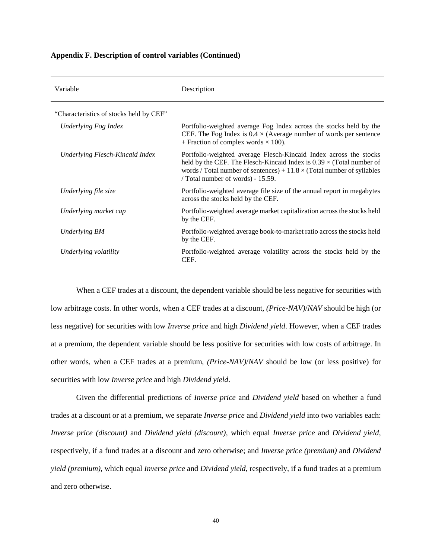| Variable                                | Description                                                                                                                                                                                                                                                            |
|-----------------------------------------|------------------------------------------------------------------------------------------------------------------------------------------------------------------------------------------------------------------------------------------------------------------------|
| "Characteristics of stocks held by CEF" |                                                                                                                                                                                                                                                                        |
| Underlying Fog Index                    | Portfolio-weighted average Fog Index across the stocks held by the<br>CEF. The Fog Index is $0.4 \times$ (Average number of words per sentence<br>+ Fraction of complex words $\times$ 100).                                                                           |
| <b>Underlying Flesch-Kincaid Index</b>  | Portfolio-weighted average Flesch-Kincaid Index across the stocks<br>held by the CEF. The Flesch-Kincaid Index is $0.39 \times$ (Total number of<br>words / Total number of sentences) + $11.8 \times$ (Total number of syllables<br>/ Total number of words) - 15.59. |
| Underlying file size                    | Portfolio-weighted average file size of the annual report in megabytes<br>across the stocks held by the CEF.                                                                                                                                                           |
| Underlying market cap                   | Portfolio-weighted average market capitalization across the stocks held<br>by the CEF.                                                                                                                                                                                 |
| <b>Underlying BM</b>                    | Portfolio-weighted average book-to-market ratio across the stocks held<br>by the CEF.                                                                                                                                                                                  |
| Underlying volatility                   | Portfolio-weighted average volatility across the stocks held by the<br>CEF.                                                                                                                                                                                            |

#### **Appendix F. Description of control variables (Continued)**

When a CEF trades at a discount, the dependent variable should be less negative for securities with low arbitrage costs. In other words, when a CEF trades at a discount, *(Price*-*NAV)*/*NAV* should be high (or less negative) for securities with low *Inverse price* and high *Dividend yield*. However, when a CEF trades at a premium, the dependent variable should be less positive for securities with low costs of arbitrage. In other words, when a CEF trades at a premium, *(Price*-*NAV)*/*NAV* should be low (or less positive) for securities with low *Inverse price* and high *Dividend yield*.

Given the differential predictions of *Inverse price* and *Dividend yield* based on whether a fund trades at a discount or at a premium, we separate *Inverse price* and *Dividend yield* into two variables each: *Inverse price (discount)* and *Dividend yield (discount)*, which equal *Inverse price* and *Dividend yield*, respectively, if a fund trades at a discount and zero otherwise; and *Inverse price (premium)* and *Dividend yield (premium)*, which equal *Inverse price* and *Dividend yield*, respectively, if a fund trades at a premium and zero otherwise.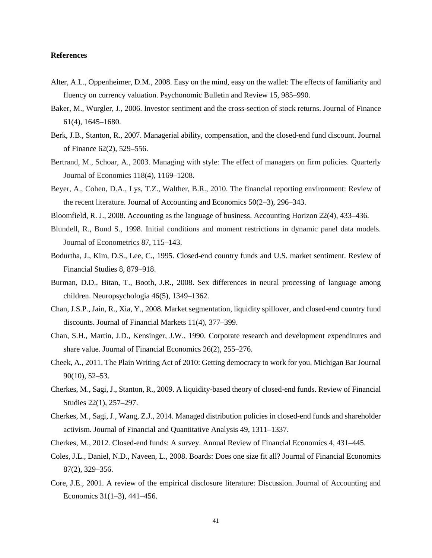#### **References**

- Alter, A.L., Oppenheimer, D.M., 2008. Easy on the mind, easy on the wallet: The effects of familiarity and fluency on currency valuation. Psychonomic Bulletin and Review 15, 985–990.
- Baker, M., Wurgler, J., 2006. Investor sentiment and the cross-section of stock returns. Journal of Finance 61(4), 1645–1680.
- Berk, J.B., Stanton, R., 2007. Managerial ability, compensation, and the closed-end fund discount. Journal of Finance 62(2), 529–556.
- Bertrand, M., Schoar, A., 2003. Managing with style: The effect of managers on firm policies. Quarterly Journal of Economics 118(4), 1169–1208.
- Beyer, A., Cohen, D.A., Lys, T.Z., Walther, B.R., 2010. The financial reporting environment: Review of the recent literature. Journal of Accounting and Economics 50(2–3), 296–343.
- Bloomfield, R. J., 2008. Accounting as the language of business. Accounting Horizon 22(4), 433–436.
- Blundell, R., Bond S., 1998. Initial conditions and moment restrictions in dynamic panel data models. Journal of Econometrics 87, 115–143.
- Bodurtha, J., Kim, D.S., Lee, C., 1995. Closed-end country funds and U.S. market sentiment. Review of Financial Studies 8, 879–918.
- Burman, D.D., Bitan, T., Booth, J.R., 2008. Sex differences in neural processing of language among children. Neuropsychologia 46(5), 1349–1362.
- Chan, J.S.P., Jain, R., Xia, Y., 2008. Market segmentation, liquidity spillover, and closed-end country fund discounts. Journal of Financial Markets 11(4), 377–399.
- Chan, S.H., Martin, J.D., Kensinger, J.W., 1990. Corporate research and development expenditures and share value. Journal of Financial Economics 26(2), 255–276.
- Cheek, A., 2011. The Plain Writing Act of 2010: Getting democracy to work for you. Michigan Bar Journal 90(10), 52–53.
- Cherkes, M., Sagi, J., Stanton, R., 2009. A liquidity-based theory of closed-end funds. Review of Financial Studies 22(1), 257–297.
- Cherkes, M., Sagi, J., Wang, Z.J., 2014. Managed distribution policies in closed-end funds and shareholder activism. Journal of Financial and Quantitative Analysis 49, 1311–1337.
- Cherkes, M., 2012. Closed-end funds: A survey. Annual Review of Financial Economics 4, 431–445.
- Coles, J.L., Daniel, N.D., Naveen, L., 2008. Boards: Does one size fit all? Journal of Financial Economics 87(2), 329–356.
- Core, J.E., 2001. A review of the empirical disclosure literature: Discussion. Journal of Accounting and Economics 31(1–3), 441–456.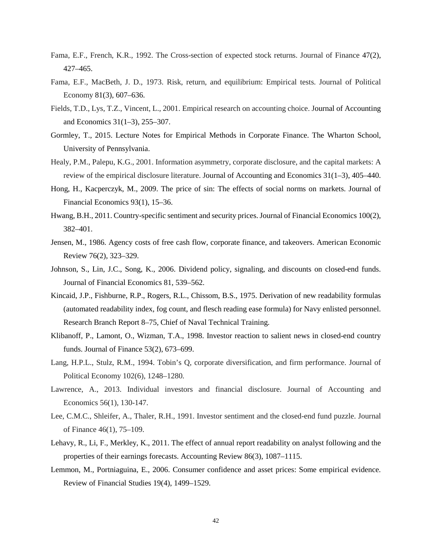- Fama, E.F., French, K.R., 1992. The Cross-section of expected stock returns. Journal of Finance 47(2), 427–465.
- Fama, E.F., MacBeth, J. D., 1973. Risk, return, and equilibrium: Empirical tests. Journal of Political Economy 81(3), 607–636.
- Fields, T.D., Lys, T.Z., Vincent, L., 2001. Empirical research on accounting choice. Journal of Accounting and Economics 31(1–3), 255–307.
- Gormley, T., 2015. Lecture Notes for Empirical Methods in Corporate Finance. The Wharton School, University of Pennsylvania.
- Healy, P.M., Palepu, K.G., 2001. Information asymmetry, corporate disclosure, and the capital markets: A review of the empirical disclosure literature. Journal of Accounting and Economics 31(1–3), 405–440.
- Hong, H., Kacperczyk, M., 2009. The price of sin: The effects of social norms on markets. Journal of Financial Economics 93(1), 15–36.
- Hwang, B.H., 2011. Country-specific sentiment and security prices. Journal of Financial Economics 100(2), 382–401.
- Jensen, M., 1986. Agency costs of free cash flow, corporate finance, and takeovers. American Economic Review 76(2), 323–329.
- Johnson, S., Lin, J.C., Song, K., 2006. Dividend policy, signaling, and discounts on closed-end funds. Journal of Financial Economics 81, 539–562.
- Kincaid, J.P., Fishburne, R.P., Rogers, R.L., Chissom, B.S., 1975. Derivation of new readability formulas (automated readability index, fog count, and flesch reading ease formula) for Navy enlisted personnel. Research Branch Report 8–75*,* Chief of Naval Technical Training.
- Klibanoff, P., Lamont, O., Wizman, T.A., 1998. Investor reaction to salient news in closed-end country funds. Journal of Finance 53(2), 673–699.
- Lang, H.P.L., Stulz, R.M., 1994. Tobin's Q, corporate diversification, and firm performance. Journal of Political Economy 102(6), 1248–1280.
- Lawrence, A., 2013. Individual investors and financial disclosure. Journal of Accounting and Economics 56(1), 130-147.
- Lee, C.M.C., Shleifer, A., Thaler, R.H., 1991. Investor sentiment and the closed-end fund puzzle. Journal of Finance 46(1), 75–109.
- Lehavy, R., Li, F., Merkley, K., 2011. The effect of annual report readability on analyst following and the properties of their earnings forecasts. Accounting Review 86(3), 1087–1115.
- Lemmon, M., Portniaguina, E., 2006. Consumer confidence and asset prices: Some empirical evidence. Review of Financial Studies 19(4), 1499–1529.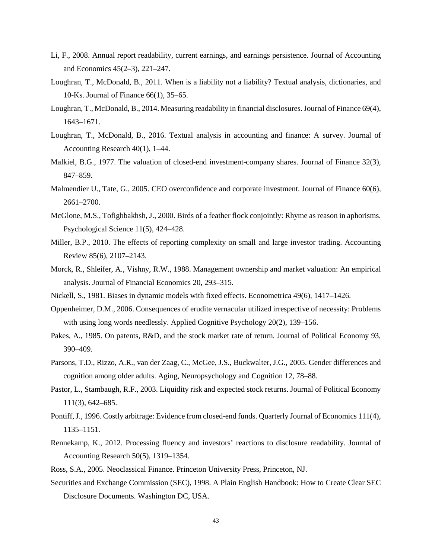- Li, F., 2008. Annual report readability, current earnings, and earnings persistence. Journal of Accounting and Economics 45(2–3), 221–247.
- Loughran, T., McDonald, B., 2011. When is a liability not a liability? Textual analysis, dictionaries, and 10-Ks. Journal of Finance 66(1), 35–65.
- Loughran, T., McDonald, B., 2014. Measuring readability in financial disclosures. Journal of Finance 69(4), 1643–1671.
- Loughran, T., McDonald, B., 2016. Textual analysis in accounting and finance: A survey. Journal of Accounting Research 40(1), 1–44.
- Malkiel, B.G., 1977. The valuation of closed-end investment-company shares. Journal of Finance 32(3), 847–859.
- Malmendier U., Tate, G., 2005. CEO overconfidence and corporate investment. Journal of Finance 60(6), 2661–2700.
- McGlone, M.S., Tofighbakhsh, J., 2000. Birds of a feather flock conjointly: Rhyme as reason in aphorisms. Psychological Science 11(5), 424–428.
- Miller, B.P., 2010. The effects of reporting complexity on small and large investor trading. Accounting Review 85(6), 2107–2143.
- Morck, R., Shleifer, A., Vishny, R.W., 1988. Management ownership and market valuation: An empirical analysis. Journal of Financial Economics 20, 293–315.
- Nickell, S., 1981. Biases in dynamic models with fixed effects. Econometrica 49(6), 1417–1426.
- Oppenheimer, D.M., 2006. Consequences of erudite vernacular utilized irrespective of necessity: Problems with using long words needlessly. Applied Cognitive Psychology 20(2), 139–156.
- Pakes, A., 1985. On patents, R&D, and the stock market rate of return. Journal of Political Economy 93, 390–409.
- Parsons, T.D., Rizzo, A.R., van der Zaag, C., McGee, J.S., Buckwalter, J.G., 2005. Gender differences and cognition among older adults. Aging, Neuropsychology and Cognition 12, 78–88.
- Pastor, L., Stambaugh, R.F., 2003. Liquidity risk and expected stock returns. Journal of Political Economy 111(3), 642–685.
- Pontiff, J., 1996. Costly arbitrage: Evidence from closed-end funds. Quarterly Journal of Economics 111(4), 1135–1151.
- Rennekamp, K., 2012. Processing fluency and investors' reactions to disclosure readability. Journal of Accounting Research 50(5), 1319–1354.
- Ross, S.A., 2005. Neoclassical Finance. Princeton University Press, Princeton, NJ.
- Securities and Exchange Commission (SEC), 1998. A Plain English Handbook: How to Create Clear SEC Disclosure Documents. Washington DC, USA.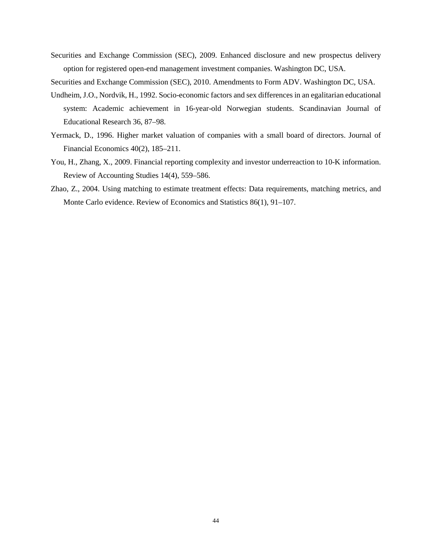Securities and Exchange Commission (SEC), 2009. Enhanced disclosure and new prospectus delivery option for registered open-end management investment companies. Washington DC, USA.

Securities and Exchange Commission (SEC), 2010. Amendments to Form ADV. Washington DC, USA.

- Undheim, J.O., Nordvik, H., 1992. Socio-economic factors and sex differences in an egalitarian educational system: Academic achievement in 16-year-old Norwegian students. Scandinavian Journal of Educational Research 36, 87–98.
- Yermack, D., 1996. Higher market valuation of companies with a small board of directors. Journal of Financial Economics 40(2), 185–211.
- You, H., Zhang, X., 2009. Financial reporting complexity and investor underreaction to 10-K information. Review of Accounting Studies 14(4), 559–586.
- Zhao, Z., 2004. Using matching to estimate treatment effects: Data requirements, matching metrics, and Monte Carlo evidence. Review of Economics and Statistics 86(1), 91–107.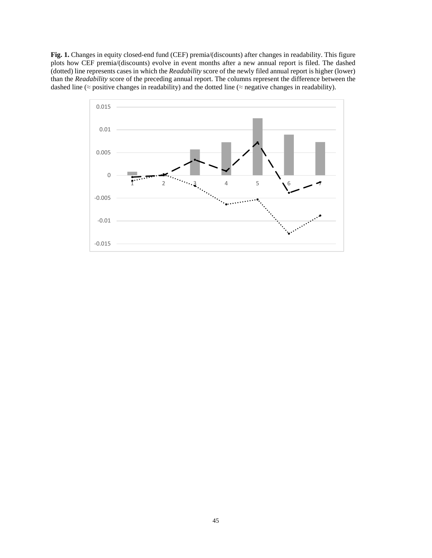**Fig. 1.** Changes in equity closed-end fund (CEF) premia/(discounts) after changes in readability. This figure plots how CEF premia/(discounts) evolve in event months after a new annual report is filed. The dashed (dotted) line represents cases in which the *Readability* score of the newly filed annual report is higher (lower) than the *Readability* score of the preceding annual report. The columns represent the difference between the dashed line ( $\approx$  positive changes in readability) and the dotted line ( $\approx$  negative changes in readability).

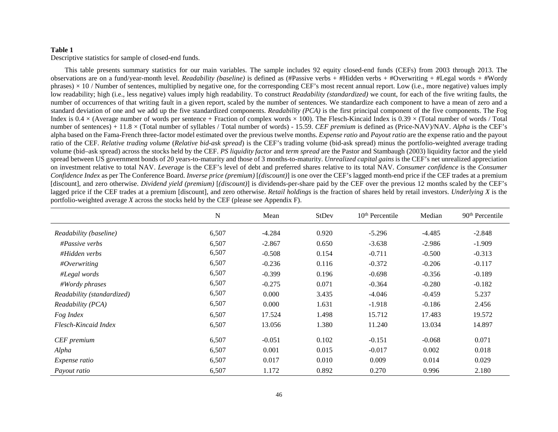Descriptive statistics for sample of closed-end funds.

This table presents summary statistics for our main variables. The sample includes 92 equity closed-end funds (CEFs) from 2003 through 2013. The observations are on a fund/year-month level. *Readability (baseline)* is defined as (#Passive verbs + #Hidden verbs + #Overwriting + #Legal words + #Wordy phrases) × 10 / Number of sentences, multiplied by negative one, for the corresponding CEF's most recent annual report. Low (i.e., more negative) values imply low readability; high (i.e., less negative) values imply high readability. To construct *Readability (standardized)* we count, for each of the five writing faults, the number of occurrences of that writing fault in a given report, scaled by the number of sentences. We standardize each component to have a mean of zero and a standard deviation of one and we add up the five standardized components. *Readability (PCA)* is the first principal component of the five components. The Fog Index is  $0.4 \times$  (Average number of words per sentence + Fraction of complex words  $\times$  100). The Flesch-Kincaid Index is  $0.39 \times$  (Total number of words / Total number of sentences) + 11.8 × (Total number of syllables / Total number of words) - 15.59. *CEF premium* is defined as (Price-NAV)/NAV. *Alpha* is the CEF's alpha based on the Fama-French three-factor model estimated over the previous twelve months. *Expense ratio* and *Payout ratio* are the expense ratio and the payout ratio of the CEF. *Relative trading volume* (*Relative bid-ask spread*) is the CEF's trading volume (bid-ask spread) minus the portfolio-weighted average trading volume (bid–ask spread) across the stocks held by the CEF. *PS liquidity factor* and *term spread* are the Pastor and Stambaugh (2003) liquidity factor and the yield spread between US government bonds of 20 years-to-maturity and those of 3 months-to-maturity. *Unrealized capital gains* is the CEF's net unrealized appreciation on investment relative to total NAV. *Leverage* is the CEF's level of debt and preferred shares relative to its total NAV. *Consumer confidence* is the *Consumer Confidence Index* as per The Conference Board. *Inverse price (premium)* [*(discount)*] is one over the CEF's lagged month-end price if the CEF trades at a premium [discount], and zero otherwise. *Dividend yield (premium)* [*(discount)*] is dividends-per-share paid by the CEF over the previous 12 months scaled by the CEF's lagged price if the CEF trades at a premium [discount], and zero otherwise. *Retail holdings* is the fraction of shares held by retail investors. *Underlying X* is the portfolio-weighted average *X* across the stocks held by the CEF (please see Appendix F).

|                            | ${\bf N}$ | Mean     | StDev | $10th$ Percentile | Median   | 90 <sup>th</sup> Percentile |
|----------------------------|-----------|----------|-------|-------------------|----------|-----------------------------|
| Readability (baseline)     | 6,507     | $-4.284$ | 0.920 | $-5.296$          | $-4.485$ | $-2.848$                    |
| $\#Passive$ verbs          | 6,507     | $-2.867$ | 0.650 | $-3.638$          | $-2.986$ | $-1.909$                    |
| $#Hidden$ verbs            | 6,507     | $-0.508$ | 0.154 | $-0.711$          | $-0.500$ | $-0.313$                    |
| $\#Overwriting$            | 6,507     | $-0.236$ | 0.116 | $-0.372$          | $-0.206$ | $-0.117$                    |
| #Legal words               | 6,507     | $-0.399$ | 0.196 | $-0.698$          | $-0.356$ | $-0.189$                    |
| $#Wordy$ phrases           | 6,507     | $-0.275$ | 0.071 | $-0.364$          | $-0.280$ | $-0.182$                    |
| Readability (standardized) | 6,507     | 0.000    | 3.435 | $-4.046$          | $-0.459$ | 5.237                       |
| Readability (PCA)          | 6,507     | 0.000    | 1.631 | $-1.918$          | $-0.186$ | 2.456                       |
| Fog Index                  | 6,507     | 17.524   | 1.498 | 15.712            | 17.483   | 19.572                      |
| Flesch-Kincaid Index       | 6,507     | 13.056   | 1.380 | 11.240            | 13.034   | 14.897                      |
| CEF premium                | 6,507     | $-0.051$ | 0.102 | $-0.151$          | $-0.068$ | 0.071                       |
| Alpha                      | 6,507     | 0.001    | 0.015 | $-0.017$          | 0.002    | 0.018                       |
| <i>Expense ratio</i>       | 6,507     | 0.017    | 0.010 | 0.009             | 0.014    | 0.029                       |
| Payout ratio               | 6,507     | 1.172    | 0.892 | 0.270             | 0.996    | 2.180                       |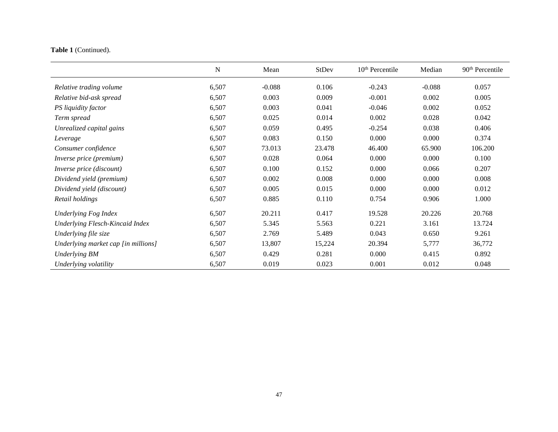# **Table 1** (Continued).

|                                        | N     | Mean     | StDev  | 10 <sup>th</sup> Percentile | Median   | 90 <sup>th</sup> Percentile |
|----------------------------------------|-------|----------|--------|-----------------------------|----------|-----------------------------|
| Relative trading volume                | 6,507 | $-0.088$ | 0.106  | $-0.243$                    | $-0.088$ | 0.057                       |
| Relative bid-ask spread                | 6,507 | 0.003    | 0.009  | $-0.001$                    | 0.002    | 0.005                       |
| PS liquidity factor                    | 6,507 | 0.003    | 0.041  | $-0.046$                    | 0.002    | 0.052                       |
| Term spread                            | 6,507 | 0.025    | 0.014  | 0.002                       | 0.028    | 0.042                       |
| Unrealized capital gains               | 6,507 | 0.059    | 0.495  | $-0.254$                    | 0.038    | 0.406                       |
| Leverage                               | 6,507 | 0.083    | 0.150  | 0.000                       | 0.000    | 0.374                       |
| Consumer confidence                    | 6,507 | 73.013   | 23.478 | 46.400                      | 65.900   | 106.200                     |
| Inverse price (premium)                | 6,507 | 0.028    | 0.064  | 0.000                       | 0.000    | 0.100                       |
| Inverse price (discount)               | 6,507 | 0.100    | 0.152  | 0.000                       | 0.066    | 0.207                       |
| Dividend yield (premium)               | 6,507 | 0.002    | 0.008  | 0.000                       | 0.000    | 0.008                       |
| Dividend yield (discount)              | 6,507 | 0.005    | 0.015  | 0.000                       | 0.000    | 0.012                       |
| Retail holdings                        | 6,507 | 0.885    | 0.110  | 0.754                       | 0.906    | 1.000                       |
| Underlying Fog Index                   | 6,507 | 20.211   | 0.417  | 19.528                      | 20.226   | 20.768                      |
| <b>Underlying Flesch-Kincaid Index</b> | 6,507 | 5.345    | 5.563  | 0.221                       | 3.161    | 13.724                      |
| Underlying file size                   | 6,507 | 2.769    | 5.489  | 0.043                       | 0.650    | 9.261                       |
| Underlying market cap [in millions]    | 6,507 | 13,807   | 15,224 | 20.394                      | 5,777    | 36,772                      |
| <b>Underlying BM</b>                   | 6,507 | 0.429    | 0.281  | 0.000                       | 0.415    | 0.892                       |
| Underlying volatility                  | 6,507 | 0.019    | 0.023  | 0.001                       | 0.012    | 0.048                       |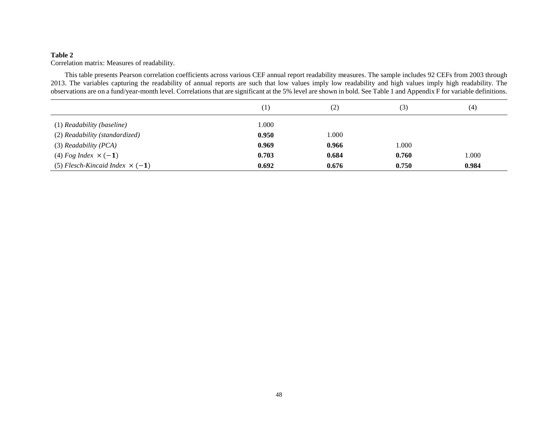Correlation matrix: Measures of readability.

This table presents Pearson correlation coefficients across various CEF annual report readability measures. The sample includes 92 CEFs from 2003 through 2013. The variables capturing the readability of annual reports are such that low values imply low readability and high values imply high readability. The observations are on a fund/year-month level. Correlations that are significant at the 5% level are shown in bold. See Table 1 and Appendix F for variable definitions.

|                                        | $^{(1)}$ | (2)   | (3)   | (4)   |
|----------------------------------------|----------|-------|-------|-------|
| (1) Readability (baseline)             | 1.000    |       |       |       |
| (2) Readability (standardized)         | 0.950    | 1.000 |       |       |
| $(3)$ Readability (PCA)                | 0.969    | 0.966 | 1.000 |       |
| (4) Fog Index $\times$ (-1)            | 0.703    | 0.684 | 0.760 | 1.000 |
| (5) Flesch-Kincaid Index $\times$ (-1) | 0.692    | 0.676 | 0.750 | 0.984 |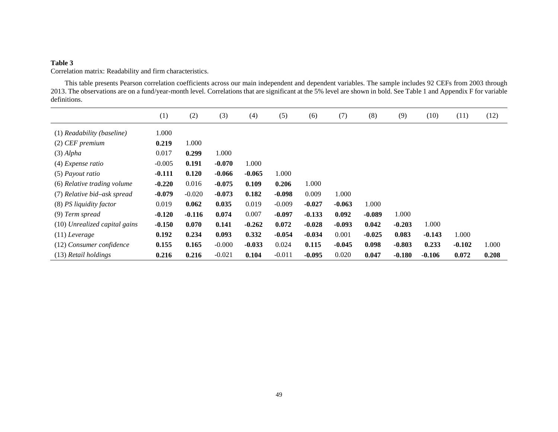Correlation matrix: Readability and firm characteristics.

This table presents Pearson correlation coefficients across our main independent and dependent variables. The sample includes 92 CEFs from 2003 through 2013. The observations are on a fund/year-month level. Correlations that are significant at the 5% level are shown in bold. See Table 1 and Appendix F for variable definitions.

|                               | (1)      | (2)      | (3)      | (4)      | (5)      | (6)      | (7)      | (8)      | (9)      | (10)     | (11)     | (12)  |
|-------------------------------|----------|----------|----------|----------|----------|----------|----------|----------|----------|----------|----------|-------|
| (1) Readability (baseline)    | 1.000    |          |          |          |          |          |          |          |          |          |          |       |
| $(2)$ CEF premium             | 0.219    | 1.000    |          |          |          |          |          |          |          |          |          |       |
| $(3)$ Alpha                   | 0.017    | 0.299    | 1.000    |          |          |          |          |          |          |          |          |       |
| $(4)$ Expense ratio           | $-0.005$ | 0.191    | $-0.070$ | 1.000    |          |          |          |          |          |          |          |       |
| $(5)$ Payout ratio            | $-0.111$ | 0.120    | $-0.066$ | $-0.065$ | 1.000    |          |          |          |          |          |          |       |
| (6) Relative trading volume   | $-0.220$ | 0.016    | $-0.075$ | 0.109    | 0.206    | 1.000    |          |          |          |          |          |       |
| (7) Relative bid–ask spread   | $-0.079$ | $-0.020$ | $-0.073$ | 0.182    | $-0.098$ | 0.009    | 1.000    |          |          |          |          |       |
| (8) PS liquidity factor       | 0.019    | 0.062    | 0.035    | 0.019    | $-0.009$ | $-0.027$ | $-0.063$ | 1.000    |          |          |          |       |
| (9) Term spread               | $-0.120$ | $-0.116$ | 0.074    | 0.007    | $-0.097$ | $-0.133$ | 0.092    | $-0.089$ | 1.000    |          |          |       |
| (10) Unrealized capital gains | $-0.150$ | 0.070    | 0.141    | $-0.262$ | 0.072    | $-0.028$ | $-0.093$ | 0.042    | $-0.203$ | 1.000    |          |       |
| $(11)$ Leverage               | 0.192    | 0.234    | 0.093    | 0.332    | $-0.054$ | $-0.034$ | 0.001    | $-0.025$ | 0.083    | $-0.143$ | 1.000    |       |
| (12) Consumer confidence      | 0.155    | 0.165    | $-0.000$ | $-0.033$ | 0.024    | 0.115    | $-0.045$ | 0.098    | $-0.803$ | 0.233    | $-0.102$ | 1.000 |
| (13) Retail holdings          | 0.216    | 0.216    | $-0.021$ | 0.104    | $-0.011$ | $-0.095$ | 0.020    | 0.047    | $-0.180$ | $-0.106$ | 0.072    | 0.208 |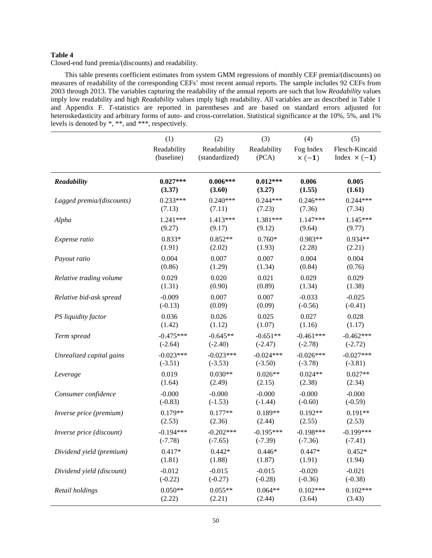Closed-end fund premia/(discounts) and readability.

This table presents coefficient estimates from system GMM regressions of monthly CEF premia/(discounts) on measures of readability of the corresponding CEFs' most recent annual reports. The sample includes 92 CEFs from 2003 through 2013. The variables capturing the readability of the annual reports are such that low *Readability* values imply low readability and high *Readability* values imply high readability. All variables are as described in Table 1 and Appendix F. *T*-statistics are reported in parentheses and are based on standard errors adjusted for heteroskedasticity and arbitrary forms of auto- and cross-correlation. Statistical significance at the 10%, 5%, and 1% levels is denoted by \*, \*\*, and \*\*\*, respectively.

|                           | (1)         | (2)            | (3)         | (4)           | (5)                 |
|---------------------------|-------------|----------------|-------------|---------------|---------------------|
|                           | Readability | Readability    | Readability | Fog Index     | Flesch-Kincaid      |
|                           | (baseline)  | (standardized) | (PCA)       | $\times (-1)$ | Index $\times (-1)$ |
| Readability               | $0.027***$  | $0.006***$     | $0.012***$  | 0.006         | 0.005               |
|                           | (3.37)      | (3.60)         | (3.27)      | (1.55)        | (1.61)              |
| Lagged premia/(discounts) | $0.233***$  | $0.240***$     | $0.244***$  | $0.246***$    | $0.244***$          |
|                           | (7.13)      | (7.11)         | (7.23)      | (7.36)        | (7.34)              |
| Alpha                     | 1.241***    | 1.413***       | 1.381***    | $1.147***$    | $1.145***$          |
|                           | (9.27)      | (9.17)         | (9.12)      | (9.64)        | (9.77)              |
| Expense ratio             | $0.833*$    | $0.852**$      | $0.760*$    | $0.983**$     | 0.934**             |
|                           | (1.91)      | (2.02)         | (1.93)      | (2.28)        | (2.21)              |
| Payout ratio              | 0.004       | 0.007          | 0.007       | 0.004         | 0.004               |
|                           | (0.86)      | (1.29)         | (1.34)      | (0.84)        | (0.76)              |
| Relative trading volume   | 0.029       | 0.020          | 0.021       | 0.029         | 0.029               |
|                           | (1.31)      | (0.90)         | (0.89)      | (1.34)        | (1.38)              |
| Relative bid-ask spread   | $-0.009$    | 0.007          | 0.007       | $-0.033$      | $-0.025$            |
|                           | $(-0.13)$   | (0.09)         | (0.09)      | $(-0.56)$     | $(-0.41)$           |
| PS liquidity factor       | 0.036       | 0.026          | 0.025       | 0.027         | 0.028               |
|                           | (1.42)      | (1.12)         | (1.07)      | (1.16)        | (1.17)              |
| Term spread               | $-0.475***$ | $-0.645**$     | $-0.651**$  | $-0.461***$   | $-0.462***$         |
|                           | $(-2.64)$   | $(-2.40)$      | $(-2.47)$   | $(-2.78)$     | $(-2.72)$           |
| Unrealized capital gains  | $-0.023***$ | $-0.023***$    | $-0.024***$ | $-0.026***$   | $-0.027***$         |
|                           | $(-3.51)$   | $(-3.53)$      | $(-3.50)$   | $(-3.78)$     | $(-3.81)$           |
| Leverage                  | 0.019       | $0.030**$      | $0.026**$   | $0.024**$     | $0.027**$           |
|                           | (1.64)      | (2.49)         | (2.15)      | (2.38)        | (2.34)              |
| Consumer confidence       | $-0.000$    | $-0.000$       | $-0.000$    | $-0.000$      | $-0.000$            |
|                           | $(-0.83)$   | $(-1.53)$      | $(-1.44)$   | $(-0.60)$     | $(-0.59)$           |
| Inverse price (premium)   | $0.179**$   | $0.177**$      | $0.189**$   | $0.192**$     | $0.191**$           |
|                           | (2.53)      | (2.36)         | (2.44)      | (2.55)        | (2.53)              |
| Inverse price (discount)  | $-0.194***$ | $-0.202***$    | $-0.195***$ | $-0.198***$   | $-0.199***$         |
|                           | $(-7.78)$   | $(-7.65)$      | $(-7.39)$   | $(-7.36)$     | $(-7.41)$           |
| Dividend yield (premium)  | $0.417*$    | $0.442*$       | $0.446*$    | $0.447*$      | $0.452*$            |
|                           | (1.81)      | (1.88)         | (1.87)      | (1.91)        | (1.94)              |
| Dividend yield (discount) | $-0.012$    | $-0.015$       | $-0.015$    | $-0.020$      | $-0.021$            |
|                           | $(-0.22)$   | $(-0.27)$      | $(-0.28)$   | $(-0.36)$     | $(-0.38)$           |
| Retail holdings           | $0.050**$   | $0.055**$      | $0.064**$   | $0.102***$    | $0.102***$          |
|                           | (2.22)      | (2.21)         | (2.44)      | (3.64)        | (3.43)              |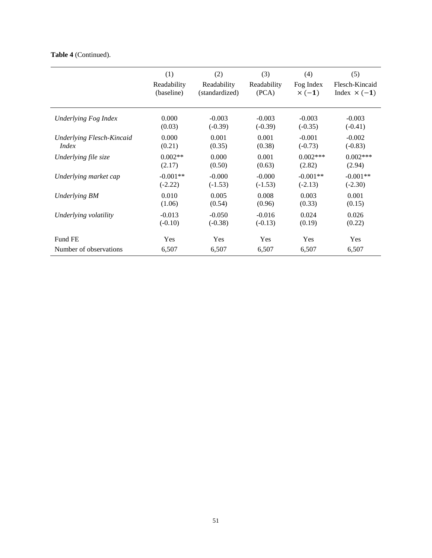# **Table 4** (Continued).

|                           | (1)         | (2)            | (3)         | (4)           | (5)                 |
|---------------------------|-------------|----------------|-------------|---------------|---------------------|
|                           | Readability | Readability    | Readability | Fog Index     | Flesch-Kincaid      |
|                           | (baseline)  | (standardized) | (PCA)       | $\times (-1)$ | Index $\times (-1)$ |
| Underlying Fog Index      | 0.000       | $-0.003$       | $-0.003$    | $-0.003$      | $-0.003$            |
|                           | (0.03)      | $(-0.39)$      | $(-0.39)$   | $(-0.35)$     | $(-0.41)$           |
| Underlying Flesch-Kincaid | 0.000       | 0.001          | 0.001       | $-0.001$      | $-0.002$            |
| <i>Index</i>              | (0.21)      | (0.35)         | (0.38)      | $(-0.73)$     | $(-0.83)$           |
| Underlying file size      | $0.002**$   | 0.000          | 0.001       | $0.002***$    | $0.002***$          |
|                           | (2.17)      | (0.50)         | (0.63)      | (2.82)        | (2.94)              |
| Underlying market cap     | $-0.001**$  | $-0.000$       | $-0.000$    | $-0.001**$    | $-0.001**$          |
|                           | $(-2.22)$   | $(-1.53)$      | $(-1.53)$   | $(-2.13)$     | $(-2.30)$           |
| <b>Underlying BM</b>      | 0.010       | 0.005          | 0.008       | 0.003         | 0.001               |
|                           | (1.06)      | (0.54)         | (0.96)      | (0.33)        | (0.15)              |
| Underlying volatility     | $-0.013$    | $-0.050$       | $-0.016$    | 0.024         | 0.026               |
|                           | $(-0.10)$   | $(-0.38)$      | $(-0.13)$   | (0.19)        | (0.22)              |
| Fund FE                   | Yes         | Yes            | Yes         | Yes           | Yes                 |
| Number of observations    | 6,507       | 6,507          | 6,507       | 6,507         | 6,507               |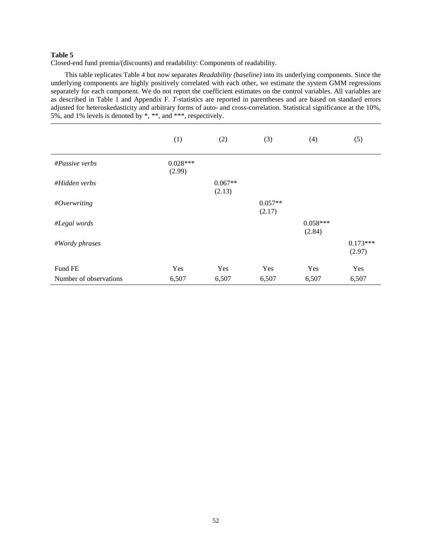Closed-end fund premia/(discounts) and readability: Components of readability.

This table replicates Table 4 but now separates *Readability (baseline)* into its underlying components. Since the underlying components are highly positively correlated with each other, we estimate the system GMM regressions separately for each component. We do not report the coefficient estimates on the control variables. All variables are as described in Table 1 and Appendix F. *T*-statistics are reported in parentheses and are based on standard errors adjusted for heteroskedasticity and arbitrary forms of auto- and cross-correlation. Statistical significance at the 10%, 5%, and 1% levels is denoted by \*, \*\*, and \*\*\*, respectively.

|                        | (1)                  | (2)                 | (3)                 | (4)                  | (5)                  |
|------------------------|----------------------|---------------------|---------------------|----------------------|----------------------|
| $\#Passive$ verbs      | $0.028***$<br>(2.99) |                     |                     |                      |                      |
| $#Hidden$ verbs        |                      | $0.067**$<br>(2.13) |                     |                      |                      |
| $\#Overwriting$        |                      |                     | $0.057**$<br>(2.17) |                      |                      |
| #Legal words           |                      |                     |                     | $0.058***$<br>(2.84) |                      |
| #Wordy phrases         |                      |                     |                     |                      | $0.173***$<br>(2.97) |
| Fund FE                | Yes                  | Yes                 | Yes                 | Yes                  | Yes                  |
| Number of observations | 6,507                | 6,507               | 6,507               | 6,507                | 6,507                |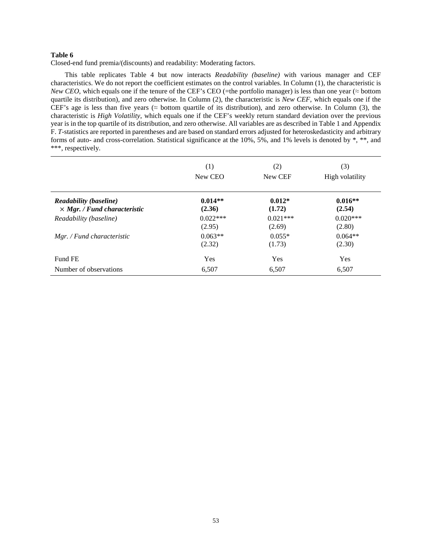Closed-end fund premia/(discounts) and readability: Moderating factors.

This table replicates Table 4 but now interacts *Readability (baseline)* with various manager and CEF characteristics. We do not report the coefficient estimates on the control variables. In Column (1), the characteristic is *New CEO*, which equals one if the tenure of the CEF's CEO (=the portfolio manager) is less than one year ( $\approx$  bottom quartile its distribution), and zero otherwise. In Column (2), the characteristic is *New CEF*, which equals one if the CEF's age is less than five years ( $\approx$  bottom quartile of its distribution), and zero otherwise. In Column (3), the characteristic is *High Volatility*, which equals one if the CEF's weekly return standard deviation over the previous year is in the top quartile of its distribution, and zero otherwise. All variables are as described in Table 1 and Appendix F. *T*-statistics are reported in parentheses and are based on standard errors adjusted for heteroskedasticity and arbitrary forms of auto- and cross-correlation. Statistical significance at the 10%, 5%, and 1% levels is denoted by \*, \*\*, and \*\*\*, respectively.

|                                     | (1)        | (2)        | (3)             |
|-------------------------------------|------------|------------|-----------------|
|                                     | New CEO    | New CEF    | High volatility |
| <b>Readability</b> (baseline)       | $0.014**$  | $0.012*$   | $0.016**$       |
| $\times$ Mgr. / Fund characteristic | (2.36)     | (1.72)     | (2.54)          |
| Readability (baseline)              | $0.022***$ | $0.021***$ | $0.020***$      |
|                                     | (2.95)     | (2.69)     | (2.80)          |
| Mgr. / Fund characteristic          | $0.063**$  | $0.055*$   | $0.064**$       |
|                                     | (2.32)     | (1.73)     | (2.30)          |
| Fund FE                             | Yes        | Yes        | Yes             |
| Number of observations              | 6.507      | 6,507      | 6,507           |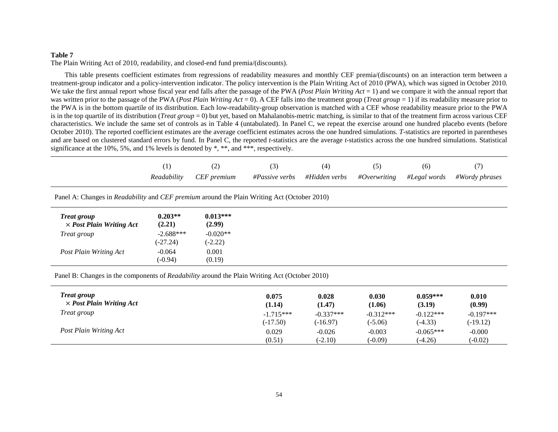The Plain Writing Act of 2010, readability, and closed-end fund premia/(discounts).

This table presents coefficient estimates from regressions of readability measures and monthly CEF premia/(discounts) on an interaction term between a treatment-group indicator and a policy-intervention indicator. The policy intervention is the Plain Writing Act of 2010 (PWA), which was signed in October 2010. We take the first annual report whose fiscal year end falls after the passage of the PWA (*Post Plain Writing Act* = 1) and we compare it with the annual report that was written prior to the passage of the PWA (*Post Plain Writing Act* = 0). A CEF falls into the treatment group (*Treat group* = 1) if its readability measure prior to the PWA is in the bottom quartile of its distribution. Each low-readability-group observation is matched with a CEF whose readability measure prior to the PWA is in the top quartile of its distribution (*Treat group* = 0) but yet, based on Mahalanobis-metric matching, is similar to that of the treatment firm across various CEF characteristics. We include the same set of controls as in Table 4 (untabulated). In Panel C, we repeat the exercise around one hundred placebo events (before October 2010). The reported coefficient estimates are the average coefficient estimates across the one hundred simulations. *T*-statistics are reported in parentheses and are based on clustered standard errors by fund. In Panel C, the reported *t*-statistics are the average *t*-statistics across the one hundred simulations. Statistical significance at the 10%, 5%, and 1% levels is denoted by \*, \*\*, and \*\*\*, respectively.

|  |                                                                                               | (4) | (6) |  |
|--|-----------------------------------------------------------------------------------------------|-----|-----|--|
|  | Readability CEF premium #Passive verbs #Hidden verbs #Overwriting #Legal words #Wordy phrases |     |     |  |

*Treat group* × *Post Plain Writing Act*  **0.203\*\* (2.21) 0.013\*\*\* (2.99)** *Treat group* -2.688\*\*\* (-27.24)  $-0.020**$ (-2.22) *Post Plain Writing Act* -0.064 (-0.94) 0.001 (0.19)

Panel A: Changes in *Readability* and *CEF premium* around the Plain Writing Act (October 2010)

Panel B: Changes in the components of *Readability* around the Plain Writing Act (October 2010)

| <b>Treat group</b><br>$\times$ Post Plain Writing Act | 0.075<br>(1.14) | 0.028<br>(1.47) | 0.030<br>(1.06) | $0.059***$<br>(3.19) | 0.010<br>(0.99) |
|-------------------------------------------------------|-----------------|-----------------|-----------------|----------------------|-----------------|
| <i>Treat group</i>                                    | $-1.715***$     | $-0.337***$     | $-0.312***$     | $-0.122***$          | $-0.197***$     |
|                                                       | $(-17.50)$      | $(-16.97)$      | $(-5.06)$       | $(-4.33)$            | $(-19.12)$      |
| Post Plain Writing Act                                | 0.029           | $-0.026$        | $-0.003$        | $-0.065***$          | $-0.000$        |
|                                                       | (0.51)          | $(-2.10)$       | $(-0.09)$       | $(-4.26)$            | $(-0.02)$       |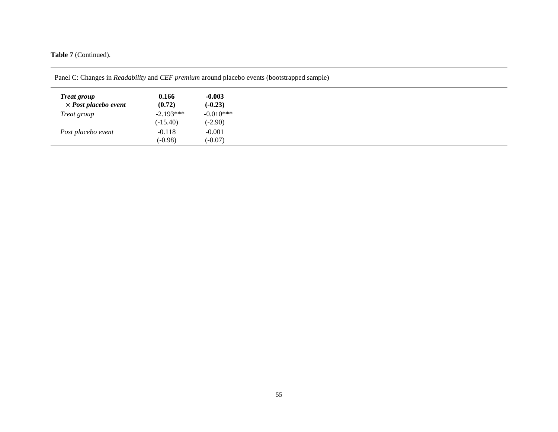# **Table 7** (Continued).

Panel C: Changes in *Readability* and *CEF premium* around placebo events (bootstrapped sample)

| <b>Treat group</b><br>$\times$ Post placebo event | 0.166<br>(0.72)           | $-0.003$<br>$(-0.23)$    |
|---------------------------------------------------|---------------------------|--------------------------|
| Treat group                                       | $-2.193***$<br>$(-15.40)$ | $-0.010***$<br>$(-2.90)$ |
| Post placebo event                                | $-0.118$<br>$(-0.98)$     | $-0.001$<br>$(-0.07)$    |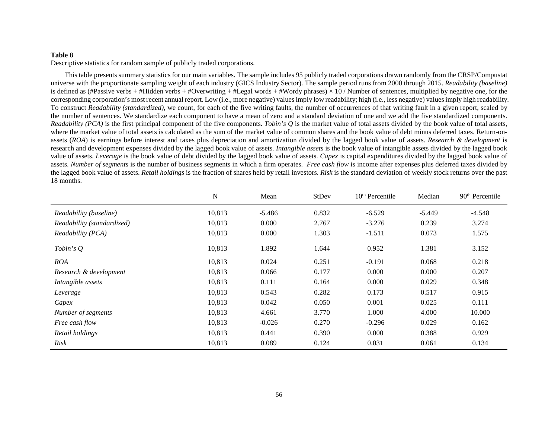Descriptive statistics for random sample of publicly traded corporations.

This table presents summary statistics for our main variables. The sample includes 95 publicly traded corporations drawn randomly from the CRSP/Compustat universe with the proportionate sampling weight of each industry (GICS Industry Sector). The sample period runs from 2000 through 2015. *Readability (baseline)* is defined as (#Passive verbs + #Hidden verbs + #Overwriting + #Legal words + #Wordy phrases)  $\times$  10 / Number of sentences, multiplied by negative one, for the corresponding corporation's most recent annual report. Low (i.e., more negative) values imply low readability; high (i.e., less negative) values imply high readability. To construct *Readability (standardized)*, we count, for each of the five writing faults, the number of occurrences of that writing fault in a given report, scaled by the number of sentences. We standardize each component to have a mean of zero and a standard deviation of one and we add the five standardized components. *Readability (PCA)* is the first principal component of the five components. *Tobin's Q* is the market value of total assets divided by the book value of total assets, where the market value of total assets is calculated as the sum of the market value of common shares and the book value of debt minus deferred taxes. Return-onassets (*ROA*) is earnings before interest and taxes plus depreciation and amortization divided by the lagged book value of assets. *Research & development* is research and development expenses divided by the lagged book value of assets. *Intangible assets* is the book value of intangible assets divided by the lagged book value of assets. *Leverage* is the book value of debt divided by the lagged book value of assets. *Capex* is capital expenditures divided by the lagged book value of assets. *Number of segments* is the number of business segments in which a firm operates. *Free cash flow* is income after expenses plus deferred taxes divided by the lagged book value of assets. *Retail holdings* is the fraction of shares held by retail investors. *Risk* is the standard deviation of weekly stock returns over the past 18 months.

|                            | ${\bf N}$ | Mean     | StDev | $10th$ Percentile | Median   | 90 <sup>th</sup> Percentile |
|----------------------------|-----------|----------|-------|-------------------|----------|-----------------------------|
| Readability (baseline)     | 10,813    | $-5.486$ | 0.832 | $-6.529$          | $-5.449$ | $-4.548$                    |
| Readability (standardized) | 10,813    | 0.000    | 2.767 | $-3.276$          | 0.239    | 3.274                       |
| Readability (PCA)          | 10,813    | 0.000    | 1.303 | $-1.511$          | 0.073    | 1.575                       |
| Tobin's O                  | 10,813    | 1.892    | 1.644 | 0.952             | 1.381    | 3.152                       |
| <b>ROA</b>                 | 10,813    | 0.024    | 0.251 | $-0.191$          | 0.068    | 0.218                       |
| Research & development     | 10,813    | 0.066    | 0.177 | 0.000             | 0.000    | 0.207                       |
| Intangible assets          | 10,813    | 0.111    | 0.164 | 0.000             | 0.029    | 0.348                       |
| Leverage                   | 10,813    | 0.543    | 0.282 | 0.173             | 0.517    | 0.915                       |
| Capex                      | 10,813    | 0.042    | 0.050 | 0.001             | 0.025    | 0.111                       |
| Number of segments         | 10,813    | 4.661    | 3.770 | 1.000             | 4.000    | 10.000                      |
| Free cash flow             | 10,813    | $-0.026$ | 0.270 | $-0.296$          | 0.029    | 0.162                       |
| Retail holdings            | 10,813    | 0.441    | 0.390 | 0.000             | 0.388    | 0.929                       |
| <b>Risk</b>                | 10,813    | 0.089    | 0.124 | 0.031             | 0.061    | 0.134                       |